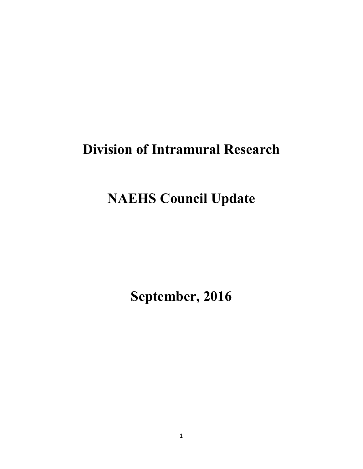# **Division of Intramural Research**

# **NAEHS Council Update**

**September, 2016**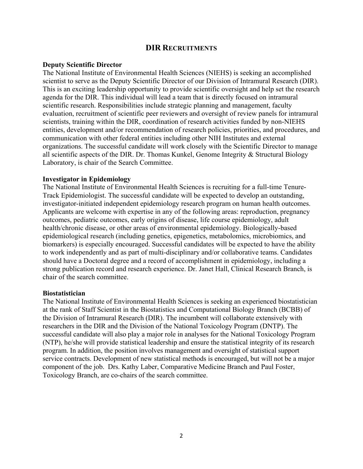## **DIR RECRUITMENTS**

#### **Deputy Scientific Director**

The National Institute of Environmental Health Sciences (NIEHS) is seeking an accomplished scientist to serve as the Deputy Scientific Director of our Division of Intramural Research (DIR). This is an exciting leadership opportunity to provide scientific oversight and help set the research agenda for the DIR. This individual will lead a team that is directly focused on intramural scientific research. Responsibilities include strategic planning and management, faculty evaluation, recruitment of scientific peer reviewers and oversight of review panels for intramural scientists, training within the DIR, coordination of research activities funded by non-NIEHS entities, development and/or recommendation of research policies, priorities, and procedures, and communication with other federal entities including other NIH Institutes and external organizations. The successful candidate will work closely with the Scientific Director to manage all scientific aspects of the DIR. Dr. Thomas Kunkel, Genome Integrity & Structural Biology Laboratory, is chair of the Search Committee.

#### **Investigator in Epidemiology**

The National Institute of Environmental Health Sciences is recruiting for a full-time Tenure-Track Epidemiologist. The successful candidate will be expected to develop an outstanding, investigator-initiated independent epidemiology research program on human health outcomes. Applicants are welcome with expertise in any of the following areas: reproduction, pregnancy outcomes, pediatric outcomes, early origins of disease, life course epidemiology, adult health/chronic disease, or other areas of environmental epidemiology. Biologically-based epidemiological research (including genetics, epigenetics, metabolomics, microbiomics, and biomarkers) is especially encouraged. Successful candidates will be expected to have the ability to work independently and as part of multi-disciplinary and/or collaborative teams. Candidates should have a Doctoral degree and a record of accomplishment in epidemiology, including a strong publication record and research experience. Dr. Janet Hall, Clinical Research Branch, is chair of the search committee.

#### **Biostatistician**

The National Institute of Environmental Health Sciences is seeking an experienced biostatistician at the rank of Staff Scientist in the Biostatistics and Computational Biology Branch (BCBB) of the Division of Intramural Research (DIR). The incumbent will collaborate extensively with researchers in the DIR and the Division of the National Toxicology Program (DNTP). The successful candidate will also play a major role in analyses for the National Toxicology Program (NTP), he/she will provide statistical leadership and ensure the statistical integrity of its research program. In addition, the position involves management and oversight of statistical support service contracts. Development of new statistical methods is encouraged, but will not be a major component of the job. Drs. Kathy Laber, Comparative Medicine Branch and Paul Foster, Toxicology Branch, are co-chairs of the search committee.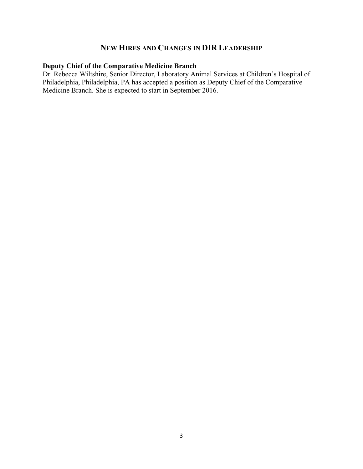## **NEW HIRES AND CHANGES IN DIR LEADERSHIP**

## **Deputy Chief of the Comparative Medicine Branch**

Dr. Rebecca Wiltshire, Senior Director, Laboratory Animal Services at Children's Hospital of Philadelphia, Philadelphia, PA has accepted a position as Deputy Chief of the Comparative Medicine Branch. She is expected to start in September 2016.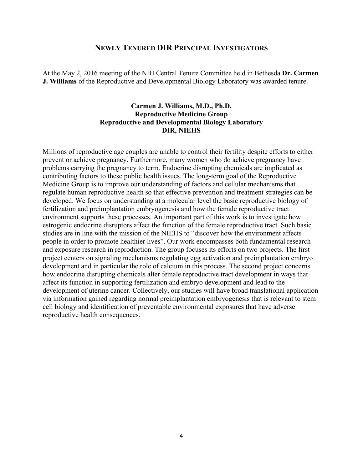## **NEWLY TENURED DIR PRINCIPAL INVESTIGATORS**

At the May 2, 2016 meeting of the NIH Central Tenure Committee held in Bethesda **Dr. Carmen J. Williams** of the Reproductive and Developmental Biology Laboratory was awarded tenure.

## **Carmen J. Williams, M.D., Ph.D. Reproductive Medicine Group Reproductive and Developmental Biology Laboratory DIR, NIEHS**

Millions of reproductive age couples are unable to control their fertility despite efforts to either prevent or achieve pregnancy. Furthermore, many women who do achieve pregnancy have problems carrying the pregnancy to term. Endocrine disrupting chemicals are implicated as contributing factors to these public health issues. The long-term goal of the Reproductive Medicine Group is to improve our understanding of factors and cellular mechanisms that regulate human reproductive health so that effective prevention and treatment strategies can be developed. We focus on understanding at a molecular level the basic reproductive biology of fertilization and preimplantation embryogenesis and how the female reproductive tract environment supports these processes. An important part of this work is to investigate how estrogenic endocrine disruptors affect the function of the female reproductive tract. Such basic studies are in line with the mission of the NIEHS to "discover how the environment affects people in order to promote healthier lives". Our work encompasses both fundamental research and exposure research in reproduction. The group focuses its efforts on two projects. The first project centers on signaling mechanisms regulating egg activation and preimplantation embryo development and in particular the role of calcium in this process. The second project concerns how endocrine disrupting chemicals alter female reproductive tract development in ways that affect its function in supporting fertilization and embryo development and lead to the development of uterine cancer. Collectively, our studies will have broad translational application via information gained regarding normal preimplantation embryogenesis that is relevant to stem cell biology and identification of preventable environmental exposures that have adverse reproductive health consequences.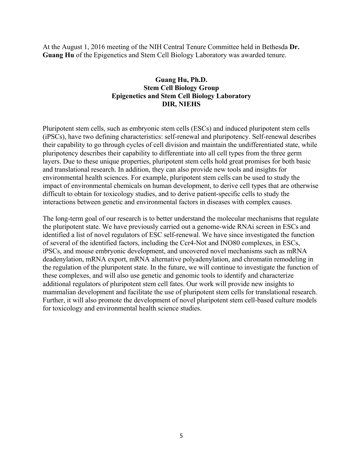At the August 1, 2016 meeting of the NIH Central Tenure Committee held in Bethesda **Dr. Guang Hu** of the Epigenetics and Stem Cell Biology Laboratory was awarded tenure.

## **Guang Hu, Ph.D. Stem Cell Biology Group Epigenetics and Stem Cell Biology Laboratory DIR, NIEHS**

Pluripotent stem cells, such as embryonic stem cells (ESCs) and induced pluripotent stem cells (iPSCs), have two defining characteristics: self-renewal and pluripotency. Self-renewal describes their capability to go through cycles of cell division and maintain the undifferentiated state, while pluripotency describes their capability to differentiate into all cell types from the three germ layers. Due to these unique properties, pluripotent stem cells hold great promises for both basic and translational research. In addition, they can also provide new tools and insights for environmental health sciences. For example, pluripotent stem cells can be used to study the impact of environmental chemicals on human development, to derive cell types that are otherwise difficult to obtain for toxicology studies, and to derive patient-specific cells to study the interactions between genetic and environmental factors in diseases with complex causes.

The long-term goal of our research is to better understand the molecular mechanisms that regulate the pluripotent state. We have previously carried out a genome-wide RNAi screen in ESCs and identified a list of novel regulators of ESC self-renewal. We have since investigated the function of several of the identified factors, including the Ccr4-Not and INO80 complexes, in ESCs, iPSCs, and mouse embryonic development, and uncovered novel mechanisms such as mRNA deadenylation, mRNA export, mRNA alternative polyadenylation, and chromatin remodeling in the regulation of the pluripotent state. In the future, we will continue to investigate the function of these complexes, and will also use genetic and genomic tools to identify and characterize additional regulators of pluripotent stem cell fates. Our work will provide new insights to mammalian development and facilitate the use of pluripotent stem cells for translational research. Further, it will also promote the development of novel pluripotent stem cell-based culture models for toxicology and environmental health science studies.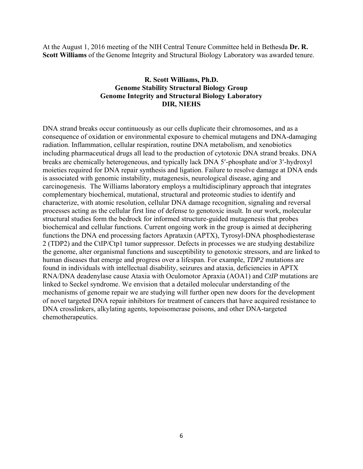At the August 1, 2016 meeting of the NIH Central Tenure Committee held in Bethesda **Dr. R. Scott Williams** of the Genome Integrity and Structural Biology Laboratory was awarded tenure.

## **R. Scott Williams, Ph.D. Genome Stability Structural Biology Group Genome Integrity and Structural Biology Laboratory DIR, NIEHS**

DNA strand breaks occur continuously as our cells duplicate their chromosomes, and as a consequence of oxidation or environmental exposure to chemical mutagens and DNA-damaging radiation. Inflammation, cellular respiration, routine DNA metabolism, and xenobiotics including pharmaceutical drugs all lead to the production of cytotoxic DNA strand breaks. DNA breaks are chemically heterogeneous, and typically lack DNA 5'-phosphate and/or 3'-hydroxyl moieties required for DNA repair synthesis and ligation. Failure to resolve damage at DNA ends is associated with genomic instability, mutagenesis, neurological disease, aging and carcinogenesis. The Williams laboratory employs a multidisciplinary approach that integrates complementary biochemical, mutational, structural and proteomic studies to identify and characterize, with atomic resolution, cellular DNA damage recognition, signaling and reversal processes acting as the cellular first line of defense to genotoxic insult. In our work, molecular structural studies form the bedrock for informed structure-guided mutagenesis that probes biochemical and cellular functions. Current ongoing work in the group is aimed at deciphering functions the DNA end processing factors Aprataxin (APTX), Tyrosyl-DNA phosphodiesterase 2 (TDP2) and the CtIP/Ctp1 tumor suppressor. Defects in processes we are studying destabilize the genome, alter organismal functions and susceptibility to genotoxic stressors, and are linked to human diseases that emerge and progress over a lifespan. For example, *TDP2* mutations are found in individuals with intellectual disability, seizures and ataxia, deficiencies in APTX RNA/DNA deadenylase cause Ataxia with Oculomotor Apraxia (AOA1) and *CtIP* mutations are linked to Seckel syndrome. We envision that a detailed molecular understanding of the mechanisms of genome repair we are studying will further open new doors for the development of novel targeted DNA repair inhibitors for treatment of cancers that have acquired resistance to DNA crosslinkers, alkylating agents, topoisomerase poisons, and other DNA-targeted chemotherapeutics.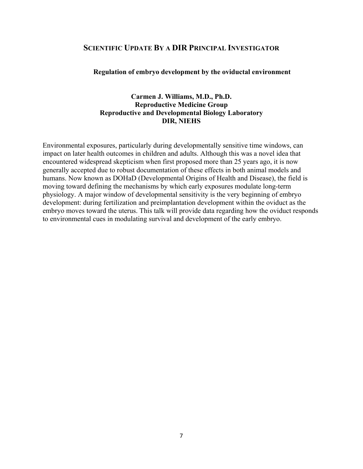## **SCIENTIFIC UPDATE BY A DIR PRINCIPAL INVESTIGATOR**

#### **Regulation of embryo development by the oviductal environment**

## **Carmen J. Williams, M.D., Ph.D. Reproductive Medicine Group Reproductive and Developmental Biology Laboratory DIR, NIEHS**

Environmental exposures, particularly during developmentally sensitive time windows, can impact on later health outcomes in children and adults. Although this was a novel idea that encountered widespread skepticism when first proposed more than 25 years ago, it is now generally accepted due to robust documentation of these effects in both animal models and humans. Now known as DOHaD (Developmental Origins of Health and Disease), the field is moving toward defining the mechanisms by which early exposures modulate long-term physiology. A major window of developmental sensitivity is the very beginning of embryo development: during fertilization and preimplantation development within the oviduct as the embryo moves toward the uterus. This talk will provide data regarding how the oviduct responds to environmental cues in modulating survival and development of the early embryo.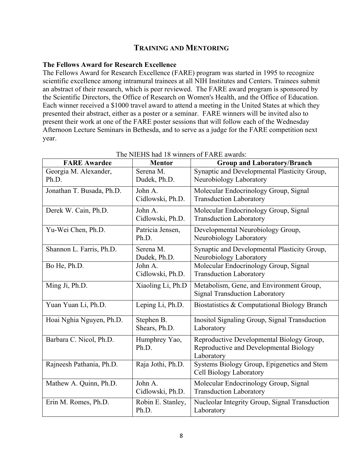## **TRAINING AND MENTORING**

## **The Fellows Award for Research Excellence**

The Fellows Award for Research Excellence (FARE) program was started in 1995 to recognize scientific excellence among intramural trainees at all NIH Institutes and Centers. Trainees submit an abstract of their research, which is peer reviewed. The FARE award program is sponsored by the Scientific Directors, the Office of Research on Women's Health, and the Office of Education. Each winner received a \$1000 travel award to attend a meeting in the United States at which they presented their abstract, either as a poster or a seminar. FARE winners will be invited also to present their work at one of the FARE poster sessions that will follow each of the Wednesday Afternoon Lecture Seminars in Bethesda, and to serve as a judge for the FARE competition next year.

| <b>FARE Awardee</b>            | <b>Mentor</b>               | <b>Group and Laboratory/Branch</b>                                                                |
|--------------------------------|-----------------------------|---------------------------------------------------------------------------------------------------|
| Georgia M. Alexander,<br>Ph.D. | Serena M.<br>Dudek, Ph.D.   | Synaptic and Developmental Plasticity Group,<br>Neurobiology Laboratory                           |
| Jonathan T. Busada, Ph.D.      | John A.<br>Cidlowski, Ph.D. | Molecular Endocrinology Group, Signal<br><b>Transduction Laboratory</b>                           |
| Derek W. Cain, Ph.D.           | John A.<br>Cidlowski, Ph.D. | Molecular Endocrinology Group, Signal<br><b>Transduction Laboratory</b>                           |
| Yu-Wei Chen, Ph.D.             | Patricia Jensen,<br>Ph.D.   | Developmental Neurobiology Group,<br>Neurobiology Laboratory                                      |
| Shannon L. Farris, Ph.D.       | Serena M.<br>Dudek, Ph.D.   | Synaptic and Developmental Plasticity Group,<br>Neurobiology Laboratory                           |
| Bo He, Ph.D.                   | John A.<br>Cidlowski, Ph.D. | Molecular Endocrinology Group, Signal<br><b>Transduction Laboratory</b>                           |
| Ming Ji, Ph.D.                 | Xiaoling Li, Ph.D           | Metabolism, Gene, and Environment Group,<br><b>Signal Transduction Laboratory</b>                 |
| Yuan Yuan Li, Ph.D.            | Leping Li, Ph.D.            | Biostatistics & Computational Biology Branch                                                      |
| Hoai Nghia Nguyen, Ph.D.       | Stephen B.<br>Shears, Ph.D. | Inositol Signaling Group, Signal Transduction<br>Laboratory                                       |
| Barbara C. Nicol, Ph.D.        | Humphrey Yao,<br>Ph.D.      | Reproductive Developmental Biology Group,<br>Reproductive and Developmental Biology<br>Laboratory |
| Rajneesh Pathania, Ph.D.       | Raja Jothi, Ph.D.           | Systems Biology Group, Epigenetics and Stem<br>Cell Biology Laboratory                            |
| Mathew A. Quinn, Ph.D.         | John A.<br>Cidlowski, Ph.D. | Molecular Endocrinology Group, Signal<br><b>Transduction Laboratory</b>                           |
| Erin M. Romes, Ph.D.           | Robin E. Stanley,<br>Ph.D.  | Nucleolar Integrity Group, Signal Transduction<br>Laboratory                                      |

## The NIEHS had 18 winners of FARE awards: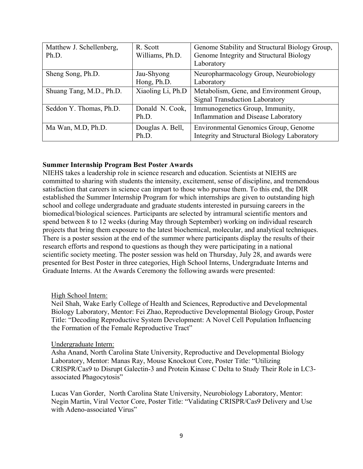| Matthew J. Schellenberg,<br>Ph.D. | R. Scott<br>Williams, Ph.D. | Genome Stability and Structural Biology Group,<br>Genome Integrity and Structural Biology<br>Laboratory |
|-----------------------------------|-----------------------------|---------------------------------------------------------------------------------------------------------|
| Sheng Song, Ph.D.                 | Jau-Shyong<br>Hong, Ph.D.   | Neuropharmacology Group, Neurobiology<br>Laboratory                                                     |
| Shuang Tang, M.D., Ph.D.          | Xiaoling Li, Ph.D           | Metabolism, Gene, and Environment Group,<br><b>Signal Transduction Laboratory</b>                       |
| Seddon Y. Thomas, Ph.D.           | Donald N. Cook,<br>Ph.D.    | Immunogenetics Group, Immunity,<br><b>Inflammation and Disease Laboratory</b>                           |
| Ma Wan, M.D, Ph.D.                | Douglas A. Bell,<br>Ph.D.   | Environmental Genomics Group, Genome<br>Integrity and Structural Biology Laboratory                     |

#### **Summer Internship Program Best Poster Awards**

NIEHS takes a leadership role in science research and education. Scientists at NIEHS are committed to sharing with students the intensity, excitement, sense of discipline, and tremendous satisfaction that careers in science can impart to those who pursue them. To this end, the DIR established the Summer Internship Program for which internships are given to outstanding high school and college undergraduate and graduate students interested in pursuing careers in the biomedical/biological sciences. Participants are selected by intramural scientific mentors and spend between 8 to 12 weeks (during May through September) working on individual research projects that bring them exposure to the latest biochemical, molecular, and analytical techniques. There is a poster session at the end of the summer where participants display the results of their research efforts and respond to questions as though they were participating in a national scientific society meeting. The poster session was held on Thursday, July 28, and awards were presented for Best Poster in three categories, High School Interns, Undergraduate Interns and Graduate Interns. At the Awards Ceremony the following awards were presented:

#### High School Intern:

Neil Shah, Wake Early College of Health and Sciences, Reproductive and Developmental Biology Laboratory, Mentor: Fei Zhao, Reproductive Developmental Biology Group, Poster Title: "Decoding Reproductive System Development: A Novel Cell Population Influencing the Formation of the Female Reproductive Tract"

#### Undergraduate Intern:

Asha Anand, North Carolina State University, Reproductive and Developmental Biology Laboratory, Mentor: Manas Ray, Mouse Knockout Core, Poster Title: "Utilizing CRISPR/Cas9 to Disrupt Galectin-3 and Protein Kinase C Delta to Study Their Role in LC3 associated Phagocytosis"

Lucas Van Gorder, North Carolina State University, Neurobiology Laboratory, Mentor: Negin Martin, Viral Vector Core, Poster Title: "Validating CRISPR/Cas9 Delivery and Use with Adeno-associated Virus"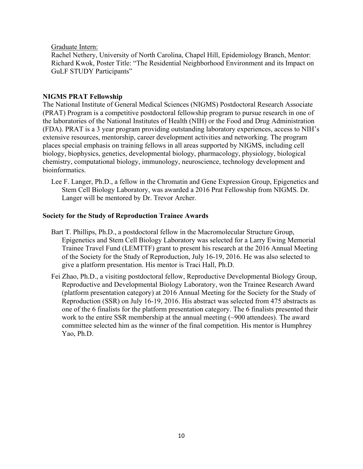## Graduate Intern:

Rachel Nethery, University of North Carolina, Chapel Hill, Epidemiology Branch, Mentor: Richard Kwok, Poster Title: "The Residential Neighborhood Environment and its Impact on GuLF STUDY Participants"

## **NIGMS PRAT Fellowship**

The National Institute of General Medical Sciences (NIGMS) Postdoctoral Research Associate (PRAT) Program is a competitive postdoctoral fellowship program to pursue research in one of the laboratories of the National Institutes of Health (NIH) or the Food and Drug Administration (FDA). PRAT is a 3 year program providing outstanding laboratory experiences, access to NIH's extensive resources, mentorship, career development activities and networking. The program places special emphasis on training fellows in all areas supported by NIGMS, including cell biology, biophysics, genetics, developmental biology, pharmacology, physiology, biological chemistry, computational biology, immunology, neuroscience, technology development and bioinformatics.

Lee F. Langer, Ph.D., a fellow in the Chromatin and Gene Expression Group, Epigenetics and Stem Cell Biology Laboratory, was awarded a 2016 Prat Fellowship from NIGMS. Dr. Langer will be mentored by Dr. Trevor Archer.

#### **Society for the Study of Reproduction Trainee Awards**

- Bart T. Phillips, Ph.D., a postdoctoral fellow in the Macromolecular Structure Group, Epigenetics and Stem Cell Biology Laboratory was selected for a Larry Ewing Memorial Trainee Travel Fund (LEMTTF) grant to present his research at the 2016 Annual Meeting of the Society for the Study of Reproduction, July 16-19, 2016. He was also selected to give a platform presentation. His mentor is Traci Hall, Ph.D.
- Fei Zhao, Ph.D., a visiting postdoctoral fellow, Reproductive Developmental Biology Group, Reproductive and Developmental Biology Laboratory, won the Trainee Research Award (platform presentation category) at 2016 Annual Meeting for the Society for the Study of Reproduction (SSR) on July 16-19, 2016. His abstract was selected from 475 abstracts as one of the 6 finalists for the platform presentation category. The 6 finalists presented their work to the entire SSR membership at the annual meeting (~900 attendees). The award committee selected him as the winner of the final competition. His mentor is Humphrey Yao, Ph.D.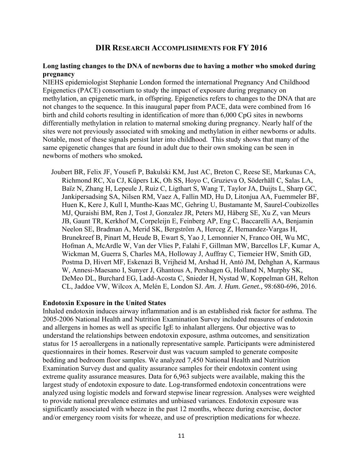## **DIR RESEARCH ACCOMPLISHMENTS FOR FY 2016**

### **Long lasting changes to the DNA of newborns due to having a mother who smoked during pregnancy**

NIEHS epidemiologist Stephanie London formed the international Pregnancy And Childhood Epigenetics (PACE) consortium to study the impact of exposure during pregnancy on methylation, an epigenetic mark, in offspring. Epigenetics refers to changes to the DNA that are not changes to the sequence. In this inaugural paper from PACE, data were combined from 16 birth and child cohorts resulting in identification of more than 6,000 CpG sites in newborns differentially methylation in relation to maternal smoking during pregnancy. Nearly half of the sites were not previously associated with smoking and methylation in either newborns or adults. Notable, most of these signals persist later into childhood. This study shows that many of the same epigenetic changes that are found in adult due to their own smoking can be seen in newborns of mothers who smoked**.** 

Joubert BR, Felix JF, Yousefi P, Bakulski KM, Just AC, Breton C, Reese SE, Markunas CA, Richmond RC, Xu CJ, Küpers LK, Oh SS, Hoyo C, Gruzieva O, Söderhäll C, Salas LA, Baïz N, Zhang H, Lepeule J, Ruiz C, Ligthart S, Wang T, Taylor JA, Duijts L, Sharp GC, Jankipersadsing SA, Nilsen RM, Vaez A, Fallin MD, Hu D, Litonjua AA, Fuemmeler BF, Huen K, Kere J, Kull I, Munthe-Kaas MC, Gehring U, Bustamante M, Saurel-Coubizolles MJ, Quraishi BM, Ren J, Tost J, Gonzalez JR, Peters MJ, Håberg SE, Xu Z, van Meurs JB, Gaunt TR, Kerkhof M, Corpeleijn E, Feinberg AP, Eng C, Baccarelli AA, Benjamin Neelon SE, Bradman A, Merid SK, Bergström A, Herceg Z, Hernandez-Vargas H, Brunekreef B, Pinart M, Heude B, Ewart S, Yao J, Lemonnier N, Franco OH, Wu MC, Hofman A, McArdle W, Van der Vlies P, Falahi F, Gillman MW, Barcellos LF, Kumar A, Wickman M, Guerra S, Charles MA, Holloway J, Auffray C, Tiemeier HW, Smith GD, Postma D, Hivert MF, Eskenazi B, Vrijheid M, Arshad H, Antó JM, Dehghan A, Karmaus W, Annesi-Maesano I, Sunyer J, Ghantous A, Pershagen G, Holland N, Murphy SK, DeMeo DL, Burchard EG, Ladd-Acosta C, Snieder H, Nystad W, Koppelman GH, Relton CL, Jaddoe VW, Wilcox A, Melén E, London SJ. *Am. J. Hum. Genet.,* 98:680-696, 2016.

#### **Endotoxin Exposure in the United States**

Inhaled endotoxin induces airway inflammation and is an established risk factor for asthma. The 2005-2006 National Health and Nutrition Examination Survey included measures of endotoxin and allergens in homes as well as specific IgE to inhalant allergens. Our objective was to understand the relationships between endotoxin exposure, asthma outcomes, and sensitization status for 15 aeroallergens in a nationally representative sample. Participants were administered questionnaires in their homes. Reservoir dust was vacuum sampled to generate composite bedding and bedroom floor samples. We analyzed 7,450 National Health and Nutrition Examination Survey dust and quality assurance samples for their endotoxin content using extreme quality assurance measures. Data for 6,963 subjects were available, making this the largest study of endotoxin exposure to date. Log-transformed endotoxin concentrations were analyzed using logistic models and forward stepwise linear regression. Analyses were weighted to provide national prevalence estimates and unbiased variances. Endotoxin exposure was significantly associated with wheeze in the past 12 months, wheeze during exercise, doctor and/or emergency room visits for wheeze, and use of prescription medications for wheeze.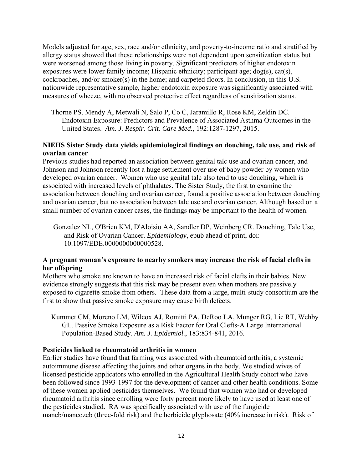Models adjusted for age, sex, race and/or ethnicity, and poverty-to-income ratio and stratified by allergy status showed that these relationships were not dependent upon sensitization status but were worsened among those living in poverty. Significant predictors of higher endotoxin exposures were lower family income; Hispanic ethnicity; participant age; dog(s), cat(s), cockroaches, and/or smoker(s) in the home; and carpeted floors. In conclusion, in this U.S. nationwide representative sample, higher endotoxin exposure was significantly associated with measures of wheeze, with no observed protective effect regardless of sensitization status.

Thorne PS, Mendy A, Metwali N, Salo P, Co C, Jaramillo R, Rose KM, Zeldin DC. Endotoxin Exposure: Predictors and Prevalence of Associated Asthma Outcomes in the United States. *Am. J. Respir. Crit. Care Med.,* 192:1287-1297, 2015.

## **NIEHS Sister Study data yields epidemiological findings on douching, talc use, and risk of ovarian cancer**

 small number of ovarian cancer cases, the findings may be important to the health of women. Previous studies had reported an association between genital talc use and ovarian cancer, and Johnson and Johnson recently lost a huge settlement over use of baby powder by women who developed ovarian cancer. Women who use genital talc also tend to use douching, which is associated with increased levels of phthalates. The Sister Study, the first to examine the association between douching and ovarian cancer, found a positive association between douching and ovarian cancer, but no association between talc use and ovarian cancer. Although based on a

Gonzalez NL, O'Brien KM, D'Aloisio AA, Sandler DP, Weinberg CR. Douching, Talc Use, and Risk of Ovarian Cancer. *Epidemiology*, epub ahead of print, doi: 10.1097/EDE.0000000000000528.

## **A pregnant woman's exposure to nearby smokers may increase the risk of facial clefts in her offspring**

Mothers who smoke are known to have an increased risk of facial clefts in their babies. New evidence strongly suggests that this risk may be present even when mothers are passively exposed to cigarette smoke from others. These data from a large, multi-study consortium are the first to show that passive smoke exposure may cause birth defects.

Kummet CM, Moreno LM, Wilcox AJ, Romitti PA, DeRoo LA, Munger RG, Lie RT, Wehby GL. Passive Smoke Exposure as a Risk Factor for Oral Clefts-A Large International Population-Based Study. *Am. J. Epidemiol.*, 183:834-841, 2016.

## **Pesticides linked to rheumatoid arthritis in women**

Earlier studies have found that farming was associated with rheumatoid arthritis, a systemic autoimmune disease affecting the joints and other organs in the body. We studied wives of licensed pesticide applicators who enrolled in the Agricultural Health Study cohort who have been followed since 1993-1997 for the development of cancer and other health conditions. Some of these women applied pesticides themselves. We found that women who had or developed rheumatoid arthritis since enrolling were forty percent more likely to have used at least one of the pesticides studied. RA was specifically associated with use of the fungicide maneb/mancozeb (three-fold risk) and the herbicide glyphosate (40% increase in risk). Risk of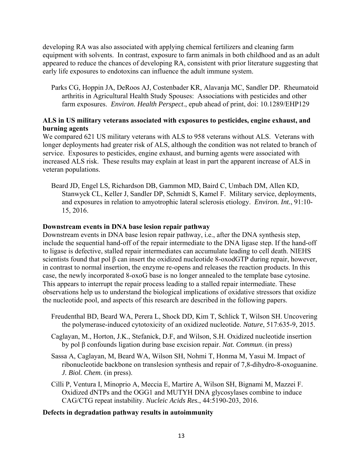developing RA was also associated with applying chemical fertilizers and cleaning farm equipment with solvents. In contrast, exposure to farm animals in both childhood and as an adult appeared to reduce the chances of developing RA, consistent with prior literature suggesting that early life exposures to endotoxins can influence the adult immune system.

Parks CG, Hoppin JA, DeRoos AJ, Costenbader KR, Alavanja MC, Sandler DP. Rheumatoid arthritis in Agricultural Health Study Spouses: Associations with pesticides and other farm exposures. *Environ. Health Perspect*., epub ahead of print, doi: 10.1289/EHP129

## **ALS in US military veterans associated with exposures to pesticides, engine exhaust, and burning agents**

We compared 621 US military veterans with ALS to 958 veterans without ALS. Veterans with longer deployments had greater risk of ALS, although the condition was not related to branch of service. Exposures to pesticides, engine exhaust, and burning agents were associated with increased ALS risk. These results may explain at least in part the apparent increase of ALS in veteran populations.

Beard JD, Engel LS, Richardson DB, Gammon MD, Baird C, Umbach DM, Allen KD, Stanwyck CL, Keller J, Sandler DP, Schmidt S, Kamel F. Military service, deployments, and exposures in relation to amyotrophic lateral sclerosis etiology. *Environ. Int.*, 91:10 15, 2016.

## **Downstream events in DNA base lesion repair pathway**

Downstream events in DNA base lesion repair pathway, i.e., after the DNA synthesis step, include the sequential hand-off of the repair intermediate to the DNA ligase step. If the hand-off to ligase is defective, stalled repair intermediates can accumulate leading to cell death. NIEHS scientists found that pol β can insert the oxidized nucleotide 8-oxodGTP during repair, however, in contrast to normal insertion, the enzyme re-opens and releases the reaction products. In this case, the newly incorporated 8-oxoG base is no longer annealed to the template base cytosine. This appears to interrupt the repair process leading to a stalled repair intermediate. These observations help us to understand the biological implications of oxidative stressors that oxidize the nucleotide pool, and aspects of this research are described in the following papers.

- Freudenthal BD, Beard WA, Perera L, Shock DD, Kim T, Schlick T, Wilson SH. Uncovering the polymerase-induced cytotoxicity of an oxidized nucleotide. *Nature*, 517:635-9, 2015.
- Caglayan, M., Horton, J.K., Stefanick, D.F, and Wilson, S.H. Oxidized nucleotide insertion by pol β confounds ligation during base excision repair. *Nat. Commun*. (in press)
- Sassa A, Caglayan, M, Beard WA, Wilson SH, Nohmi T, Honma M, Yasui M. Impact of ribonucleotide backbone on translesion synthesis and repair of 7,8-dihydro-8-oxoguanine. *J. Biol. Chem.* (in press).
- Cilli P, Ventura I, Minoprio A, Meccia E, Martire A, Wilson SH, Bignami M, Mazzei F. Oxidized dNTPs and the OGG1 and MUTYH DNA glycosylases combine to induce CAG/CTG repeat instability. *Nucleic Acids Res.*, 44:5190-203, 2016.

## **Defects in degradation pathway results in autoimmunity**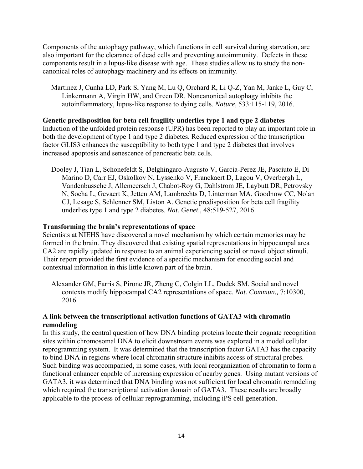Components of the autophagy pathway, which functions in cell survival during starvation, are also important for the clearance of dead cells and preventing autoimmunity. Defects in these components result in a lupus-like disease with age. These studies allow us to study the noncanonical roles of autophagy machinery and its effects on immunity.

Martinez J, Cunha LD, Park S, Yang M, Lu Q, Orchard R, Li Q-Z, Yan M, Janke L, Guy C, Linkermann A, Virgin HW, and Green DR. Noncanonical autophagy inhibits the autoinflammatory, lupus-like response to dying cells. *Nature,* 533:115-119, 2016.

## **Genetic predisposition for beta cell fragility underlies type 1 and type 2 diabetes**

Induction of the unfolded protein response (UPR) has been reported to play an important role in both the development of type 1 and type 2 diabetes. Reduced expression of the transcription factor GLIS3 enhances the susceptibility to both type 1 and type 2 diabetes that involves increased apoptosis and senescence of pancreatic beta cells.

Dooley J, Tian L, Schonefeldt S, Delghingaro-Augusto V, Garcia-Perez JE, Pasciuto E, Di Marino D, Carr EJ, Oskolkov N, Lyssenko V, Franckaert D, Lagou V, Overbergh L, Vandenbussche J, Allemeersch J, Chabot-Roy G, Dahlstrom JE, Laybutt DR, Petrovsky N, Socha L, Gevaert K, Jetten AM, Lambrechts D, Linterman MA, Goodnow CC, Nolan CJ, Lesage S, Schlenner SM, Liston A. Genetic predisposition for beta cell fragility underlies type 1 and type 2 diabetes. *Nat. Genet.,* 48:519-527, 2016.

## **Transforming the brain's representations of space**

Scientists at NIEHS have discovered a novel mechanism by which certain memories may be formed in the brain. They discovered that existing spatial representations in hippocampal area CA2 are rapidly updated in response to an animal experiencing social or novel object stimuli. Their report provided the first evidence of a specific mechanism for encoding social and contextual information in this little known part of the brain.

Alexander GM, Farris S, Pirone JR, Zheng C, Colgin LL, Dudek SM. Social and novel contexts modify hippocampal CA2 representations of space. *Nat. Commun.,* 7:10300, 2016.

## **A link between the transcriptional activation functions of GATA3 with chromatin remodeling**

In this study, the central question of how DNA binding proteins locate their cognate recognition sites within chromosomal DNA to elicit downstream events was explored in a model cellular reprogramming system. It was determined that the transcription factor GATA3 has the capacity to bind DNA in regions where local chromatin structure inhibits access of structural probes. Such binding was accompanied, in some cases, with local reorganization of chromatin to form a functional enhancer capable of increasing expression of nearby genes. Using mutant versions of GATA3, it was determined that DNA binding was not sufficient for local chromatin remodeling which required the transcriptional activation domain of GATA3. These results are broadly applicable to the process of cellular reprogramming, including iPS cell generation.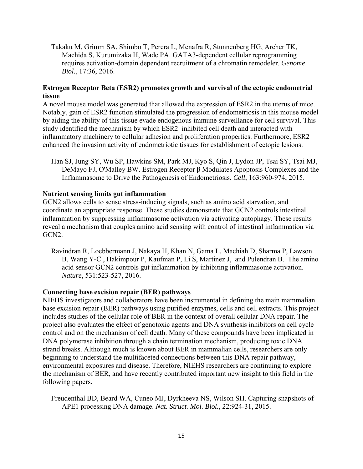Takaku M, Grimm SA, Shimbo T, Perera L, Menafra R, Stunnenberg HG, Archer TK, Machida S, Kurumizaka H, Wade PA. GATA3-dependent cellular reprogramming requires activation-domain dependent recruitment of a chromatin remodeler. *Genome Biol.*, 17:36, 2016.

## **Estrogen Receptor Beta (ESR2) promotes growth and survival of the ectopic endometrial tissue**

A novel mouse model was generated that allowed the expression of ESR2 in the uterus of mice. Notably, gain of ESR2 function stimulated the progression of endometriosis in this mouse model by aiding the ability of this tissue evade endogenous immune surveillance for cell survival. This study identified the mechanism by which ESR2 inhibited cell death and interacted with inflammatory machinery to cellular adhesion and proliferation properties. Furthermore, ESR2 enhanced the invasion activity of endometriotic tissues for establishment of ectopic lesions.

Han SJ, Jung SY, Wu SP, Hawkins SM, Park MJ, Kyo S, Qin J, Lydon JP, Tsai SY, Tsai MJ, DeMayo FJ, O'Malley BW. Estrogen Receptor β Modulates Apoptosis Complexes and the Inflammasome to Drive the Pathogenesis of Endometriosis. *Cell*, 163:960-974, 2015.

#### **Nutrient sensing limits gut inflammation**

GCN2 allows cells to sense stress-inducing signals, such as amino acid starvation, and coordinate an appropriate response. These studies demonstrate that GCN2 controls intestinal inflammation by suppressing inflammasome activation via activating autophagy. These results reveal a mechanism that couples amino acid sensing with control of intestinal inflammation via GCN2.

Ravindran R, Loebbermann J, Nakaya H, Khan N, Gama L, Machiah D, Sharma P, Lawson B, Wang Y-C , Hakimpour P, Kaufman P, Li S, Martinez J, and Pulendran B. The amino acid sensor GCN2 controls gut inflammation by inhibiting inflammasome activation. *Nature*, 531:523-527, 2016.

#### **Connecting base excision repair (BER) pathways**

NIEHS investigators and collaborators have been instrumental in defining the main mammalian base excision repair (BER) pathways using purified enzymes, cells and cell extracts. This project includes studies of the cellular role of BER in the context of overall cellular DNA repair. The project also evaluates the effect of genotoxic agents and DNA synthesis inhibitors on cell cycle control and on the mechanism of cell death. Many of these compounds have been implicated in DNA polymerase inhibition through a chain termination mechanism, producing toxic DNA strand breaks. Although much is known about BER in mammalian cells, researchers are only beginning to understand the multifaceted connections between this DNA repair pathway, environmental exposures and disease. Therefore, NIEHS researchers are continuing to explore the mechanism of BER, and have recently contributed important new insight to this field in the following papers.

Freudenthal BD, Beard WA, Cuneo MJ, Dyrkheeva NS, Wilson SH. Capturing snapshots of APE1 processing DNA damage. *Nat. Struct. Mol. Biol.,* 22:924-31, 2015.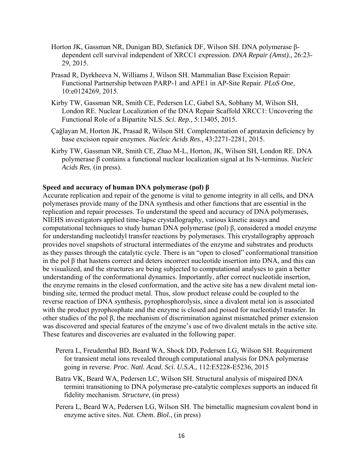- Horton JK, Gassman NR, Dunigan BD, Stefanick DF, Wilson SH. DNA polymerase βdependent cell survival independent of XRCC1 expression. *DNA Repair (Amst).,* 26:23 29, 2015.
- Prasad R, Dyrkheeva N, Williams J, Wilson SH. Mammalian Base Excision Repair: Functional Partnership between PARP-1 and APE1 in AP-Site Repair. *PLoS One*, 10:e0124269, 2015.
- Kirby TW, Gassman NR, Smith CE, Pedersen LC, Gabel SA, Sobhany M, Wilson SH, London RE. Nuclear Localization of the DNA Repair Scaffold XRCC1: Uncovering the Functional Role of a Bipartite NLS. *Sci. Rep.,* 5:13405, 2015.
- Çağlayan M, Horton JK, Prasad R, Wilson SH. Complementation of aprataxin deficiency by base excision repair enzymes. *Nucleic Acids Res.,* 43:2271-2281, 2015.
- Kirby TW, Gassman NR, Smith CE, Zhao M-L, Horton, JK, Wilson SH, London RE. DNA polymerase β contains a functional nuclear localization signal at Its N-terminus. *Nucleic Acids Res.* (in press).

#### **Speed and accuracy of human DNA polymerase (pol) β**

Accurate replication and repair of the genome is vital to genome integrity in all cells, and DNA polymerases provide many of the DNA synthesis and other functions that are essential in the replication and repair processes. To understand the speed and accuracy of DNA polymerases, NIEHS investigators applied time-lapse crystallography, various kinetic assays and computational techniques to study human DNA polymerase (pol) β, considered a model enzyme for understanding nucleotidyl transfer reactions by polymerases. This crystallography approach provides novel snapshots of structural intermediates of the enzyme and substrates and products as they passes through the catalytic cycle. There is an "open to closed" conformational transition in the pol β that hastens correct and deters incorrect nucleotide insertion into DNA, and this can be visualized, and the structures are being subjected to computational analyses to gain a better understanding of the conformational dynamics. Importantly, after correct nucleotide insertion, the enzyme remains in the closed conformation, and the active site has a new divalent metal ionbinding site, termed the product metal. Thus, slow product release could be coupled to the reverse reaction of DNA synthesis, pyrophosphorolysis, since a divalent metal ion is associated with the product pyrophosphate and the enzyme is closed and poised for nucleotidyl transfer. In other studies of the pol β, the mechanism of discrimination against mismatched primer extension was discovered and special features of the enzyme's use of two divalent metals in the active site. These features and discoveries are evaluated in the following paper.

- Perera L, Freudenthal BD, Beard WA, Shock DD, Pedersen LG, Wilson SH. Requirement for transient metal ions revealed through computational analysis for DNA polymerase going in reverse. *Proc. Natl. Acad. Sci. U.S.A.,* 112:E5228-E5236, 2015
- Batra VK, Beard WA, Pedersen LC, Wilson SH. Structural analysis of mispaired DNA termini transitioning to DNA polymerase pre-catalytic complexes supports an induced fit fidelity mechanism. *Structure*, (in press)
- Perera L, Beard WA, Pedersen LG, Wilson SH. The bimetallic magnesium covalent bond in enzyme active sites. *Nat. Chem. Biol.*, (in press)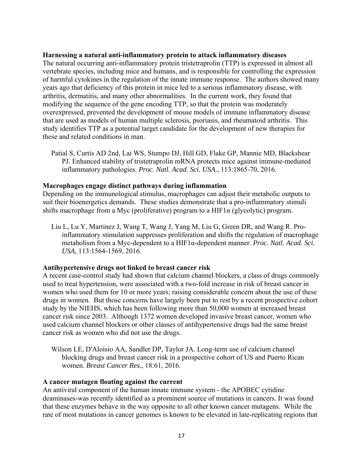#### **Harnessing a natural anti-inflammatory protein to attack inflammatory diseases**

The natural occurring anti-inflammatory protein tristetraprolin (TTP) is expressed in almost all vertebrate species, including mice and humans, and is responsible for controlling the expression of harmful cytokines in the regulation of the innate immune response. The authors showed many years ago that deficiency of this protein in mice led to a serious inflammatory disease, with arthritis, dermatitis, and many other abnormalities. In the current work, they found that modifying the sequence of the gene encoding TTP, so that the protein was moderately overexpressed, prevented the development of mouse models of immune inflammatory disease that are used as models of human multiple sclerosis, psoriasis, and rheumatoid arthritis. This study identifies TTP as a potential target candidate for the development of new therapies for these and related conditions in man.

Patial S, Curtis AD 2nd, Lai WS, Stumpo DJ, Hill GD, Flake GP, Mannie MD, Blackshear PJ. Enhanced stability of tristetraprolin mRNA protects mice against immune-mediated inflammatory pathologies. *Proc. Natl. Acad. Sci. USA*., 113:1865-70, 2016.

#### **Macrophages engage distinct pathways during inflammation**

Depending on the immunological stimulus, macrophages can adjust their metabolic outputs to suit their bioenergetics demands. These studies demonstrate that a pro-inflammatory stimuli shifts macrophage from a Myc (proliferative) program to a HIF1 $\alpha$  (glycolytic) program.

Liu L, Lu Y, Martinez J, Wang T, Wang J, Yang M, Liu G, Green DR, and Wang R. Proinflammatory stimulation suppresses proliferation and shifts the regulation of macrophage metabolism from a Myc-dependent to a HIF1α-dependent manner. *Proc. Natl. Acad. Sci. USA*, 113:1564-1569, 2016.

## **Antihypertensive drugs not linked to breast cancer risk**

A recent case-control study had shown that calcium channel blockers, a class of drugs commonly used to treat hypertension, were associated with a two-fold increase in risk of breast cancer in women who used them for 10 or more years; raising considerable concern about the use of these drugs in women. But those concerns have largely been put to rest by a recent prospective cohort study by the NIEHS, which has been following more than 50,000 women at increased breast cancer risk since 2003. Although 1372 women developed invasive breast cancer, women who used calcium channel blockers or other classes of antihypertensive drugs had the same breast cancer risk as women who did not use the drugs.

Wilson LE, D'Aloisio AA, Sandler DP, Taylor JA. Long-term use of calcium channel blocking drugs and breast cancer risk in a prospective cohort of US and Puerto Rican women. *Breast Cancer Res.*, 18:61, 2016.

## **A cancer mutagen floating against the current**

An antiviral component of the human innate immune system - the APOBEC cytidine deaminases-was recently identified as a prominent source of mutations in cancers. It was found that these enzymes behave in the way opposite to all other known cancer mutagens. While the rate of most mutations in cancer genomes is known to be elevated in late-replicating regions that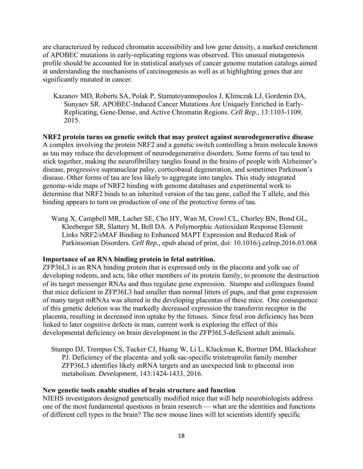are characterized by reduced chromatin accessibility and low gene density, a marked enrichment of APOBEC mutations in early-replicating regions was observed. This unusual mutagenesis profile should be accounted for in statistical analyses of cancer genome mutation catalogs aimed at understanding the mechanisms of carcinogenesis as well as at highlighting genes that are significantly mutated in cancer.

Kazanov MD, Roberts SA, Polak P, Stamatoyannopoulos J, Klimczak LJ, Gordenin DA, Sunyaev SR. APOBEC-Induced Cancer Mutations Are Uniquely Enriched in Early-Replicating, Gene-Dense, and Active Chromatin Regions. *Cell Rep*., 13:1103-1109, 2015.

**NRF2 protein turns on genetic switch that may protect against neurodegenerative disease**  A complex involving the protein NRF2 and a genetic switch controlling a brain molecule known as tau may reduce the development of neurodegenerative disorders. Some forms of tau tend to stick together, making the neurofibrillary tangles found in the brains of people with Alzheimer's disease, progressive supranuclear palsy, corticobasal degeneration, and sometimes Parkinson's disease. Other forms of tau are less likely to aggregate into tangles. This study integrated genome-wide maps of NRF2 binding with genome databases and experimental work to determine that NRF2 binds to an inherited version of the tau gene, called the T allele, and this binding appears to turn on production of one of the protective forms of tau.

Wang X, Campbell MR, Lacher SE, Cho HY, Wan M, Crowl CL, Chorley BN, Bond GL, Kleeberger SR, Slattery M, Bell DA. A Polymorphic Antioxidant Response Element Links NRF2/sMAF Binding to Enhanced MAPT Expression and Reduced Risk of Parkinsonian Disorders. *Cell Rep.,* epub ahead of print, doi: 10.1016/j.celrep.2016.03.068

#### **Importance of an RNA binding protein in fetal nutrition.**

ZFP36L3 is an RNA binding protein that is expressed only in the placenta and yolk sac of developing rodents, and acts, like other members of its protein family, to promote the destruction of its target messenger RNAs and thus regulate gene expression. Stumpo and colleagues found that mice deficient in ZFP36L3 had smaller than normal litters of pups, and that gene expression of many target mRNAs was altered in the developing placentas of these mice. One consequence of this genetic deletion was the markedly decreased expression the transferrin receptor in the placenta, resulting in decreased iron uptake by the fetuses. Since fetal iron deficiency has been linked to later cognitive defects in man, current work is exploring the effect of this developmental deficiency on brain development in the ZFP36L3-deficient adult animals.

Stumpo DJ, Trempus CS, Tucker CJ, Huang W, Li L, Kluckman K, Bortner DM, Blackshear PJ. Deficiency of the placenta- and yolk sac-specific tristetraprolin family member ZFP36L3 identifies likely mRNA targets and an unexpected link to placental iron metabolism. *Development*, 143:1424-1433, 2016.

#### **New genetic tools enable studies of brain structure and function**

NIEHS investigators designed genetically modified mice that will help neurobiologists address one of the most fundamental questions in brain research — what are the identities and functions of different cell types in the brain? The new mouse lines will let scientists identify specific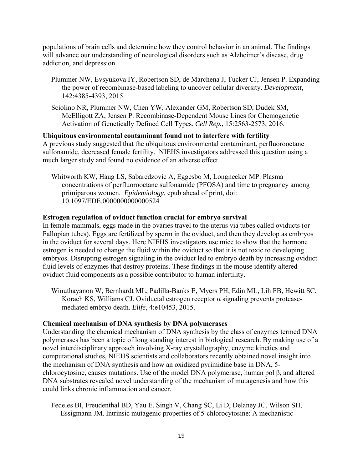populations of brain cells and determine how they control behavior in an animal. The findings will advance our understanding of neurological disorders such as Alzheimer's disease, drug addiction, and depression.

- Plummer NW, Evsyukova IY, Robertson SD, de Marchena J, Tucker CJ, Jensen P. Expanding the power of recombinase-based labeling to uncover cellular diversity. *Development*, 142:4385-4393, 2015.
- Sciolino NR, Plummer NW, Chen YW, Alexander GM, Robertson SD, Dudek SM, McElligott ZA, Jensen P. Recombinase-Dependent Mouse Lines for Chemogenetic Activation of Genetically Defined Cell Types. *Cell Rep.*, 15:2563-2573, 2016.

#### **Ubiquitous environmental contaminant found not to interfere with fertility**

A previous study suggested that the ubiquitous environmental contaminant, perfluorooctane sulfonamide, decreased female fertility. NIEHS investigators addressed this question using a much larger study and found no evidence of an adverse effect.

Whitworth KW, Haug LS, Sabaredzovic A, Eggesbo M, Longnecker MP. Plasma concentrations of perfluorooctane sulfonamide (PFOSA) and time to pregnancy among primiparous women. *Epidemiology*, epub ahead of print, doi: 10.1097/EDE.0000000000000524

#### **Estrogen regulation of oviduct function crucial for embryo survival**

In female mammals, eggs made in the ovaries travel to the uterus via tubes called oviducts (or Fallopian tubes). Eggs are fertilized by sperm in the oviduct, and then they develop as embryos in the oviduct for several days. Here NIEHS investigators use mice to show that the hormone estrogen is needed to change the fluid within the oviduct so that it is not toxic to developing embryos. Disrupting estrogen signaling in the oviduct led to embryo death by increasing oviduct fluid levels of enzymes that destroy proteins. These findings in the mouse identify altered oviduct fluid components as a possible contributor to human infertility.

Winuthayanon W, Bernhardt ML, Padilla-Banks E, Myers PH, Edin ML, Lih FB, Hewitt SC, Korach KS, Williams CJ. Oviductal estrogen receptor α signaling prevents proteasemediated embryo death. *Elife*, 4:e10453, 2015.

#### **Chemical mechanism of DNA synthesis by DNA polymerases**

Understanding the chemical mechanism of DNA synthesis by the class of enzymes termed DNA polymerases has been a topic of long standing interest in biological research. By making use of a novel interdisciplinary approach involving X-ray crystallography, enzyme kinetics and computational studies, NIEHS scientists and collaborators recently obtained novel insight into the mechanism of DNA synthesis and how an oxidized pyrimidine base in DNA, 5 chlorocytosine, causes mutations. Use of the model DNA polymerase, human pol β, and altered DNA substrates revealed novel understanding of the mechanism of mutagenesis and how this could links chronic inflammation and cancer.

Fedeles BI, Freudenthal BD, Yau E, Singh V, Chang SC, Li D, Delaney JC, Wilson SH, Essigmann JM. Intrinsic mutagenic properties of 5-chlorocytosine: A mechanistic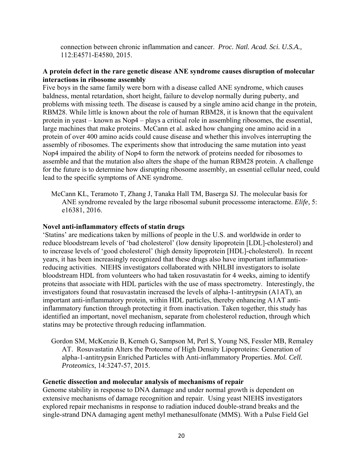connection between chronic inflammation and cancer. *Proc. Natl. Acad. Sci. U.S.A.,*  112:E4571-E4580, 2015.

## **A protein defect in the rare genetic disease ANE syndrome causes disruption of molecular interactions in ribosome assembly**

Five boys in the same family were born with a disease called ANE syndrome, which causes baldness, mental retardation, short height, failure to develop normally during puberty, and problems with missing teeth. The disease is caused by a single amino acid change in the protein, RBM28. While little is known about the role of human RBM28, it is known that the equivalent protein in yeast – known as Nop4 – plays a critical role in assembling ribosomes, the essential, large machines that make proteins. McCann et al. asked how changing one amino acid in a protein of over 400 amino acids could cause disease and whether this involves interrupting the assembly of ribosomes. The experiments show that introducing the same mutation into yeast Nop4 impaired the ability of Nop4 to form the network of proteins needed for ribosomes to assemble and that the mutation also alters the shape of the human RBM28 protein. A challenge for the future is to determine how disrupting ribosome assembly, an essential cellular need, could lead to the specific symptoms of ANE syndrome.

McCann KL, Teramoto T, Zhang J, Tanaka Hall TM, Baserga SJ. The molecular basis for ANE syndrome revealed by the large ribosomal subunit processome interactome. *Elife*, 5: e16381, 2016.

#### **Novel anti-inflammatory effects of statin drugs**

'Statins' are medications taken by millions of people in the U.S. and worldwide in order to reduce bloodstream levels of 'bad cholesterol' (low density lipoprotein [LDL]-cholesterol) and to increase levels of 'good cholesterol' (high density lipoprotein [HDL]-cholesterol). In recent years, it has been increasingly recognized that these drugs also have important inflammationreducing activities. NIEHS investigators collaborated with NHLBI investigators to isolate bloodstream HDL from volunteers who had taken rosuvastatin for 4 weeks, aiming to identify proteins that associate with HDL particles with the use of mass spectrometry. Interestingly, the investigators found that rosuvastatin increased the levels of alpha-1-antitrypsin (A1AT), an important anti-inflammatory protein, within HDL particles, thereby enhancing A1AT antiinflammatory function through protecting it from inactivation. Taken together, this study has identified an important, novel mechanism, separate from cholesterol reduction, through which statins may be protective through reducing inflammation.

Gordon SM, McKenzie B, Kemeh G, Sampson M, Perl S, Young NS, Fessler MB, Remaley AT. Rosuvastatin Alters the Proteome of High Density Lipoproteins: Generation of alpha-1-antitrypsin Enriched Particles with Anti-inflammatory Properties. *Mol. Cell. Proteomics*, 14:3247-57, 2015.

#### **Genetic dissection and molecular analysis of mechanisms of repair**

Genome stability in response to DNA damage and under normal growth is dependent on extensive mechanisms of damage recognition and repair. Using yeast NIEHS investigators explored repair mechanisms in response to radiation induced double-strand breaks and the single-strand DNA damaging agent methyl methanesulfonate (MMS). With a Pulse Field Gel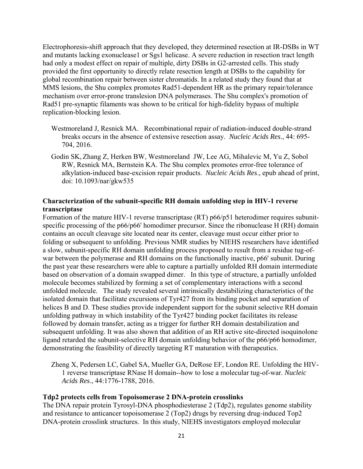Electrophoresis-shift approach that they developed, they determined resection at IR-DSBs in WT and mutants lacking exonuclease1 or Sgs1 helicase. A severe reduction in resection tract length had only a modest effect on repair of multiple, dirty DSBs in G2-arrested cells. This study provided the first opportunity to directly relate resection length at DSBs to the capability for global recombination repair between sister chromatids. In a related study they found that at MMS lesions, the Shu complex promotes Rad51-dependent HR as the primary repair/tolerance mechanism over error-prone translesion DNA polymerases. The Shu complex's promotion of Rad51 pre-synaptic filaments was shown to be critical for high-fidelity bypass of multiple replication-blocking lesion.

- Westmoreland J, Resnick MA. Recombinational repair of radiation-induced double-strand breaks occurs in the absence of extensive resection assay. *Nucleic Acids Res*., 44: 695 704, 2016.
- Godin SK, Zhang Z, Herken BW, Westmoreland JW, Lee AG, Mihalevic M, Yu Z, Sobol RW, Resnick MA, Bernstein KA. The Shu complex promotes error-free tolerance of alkylation-induced base-excision repair products. *Nucleic Acids Res*., epub ahead of print, doi: 10.1093/nar/gkw535

## **Characterization of the subunit-specific RH domain unfolding step in HIV-1 reverse transcriptase**

Formation of the mature HIV-1 reverse transcriptase (RT) p66/p51 heterodimer requires subunitspecific processing of the p66/p66' homodimer precursor. Since the ribonuclease H (RH) domain contains an occult cleavage site located near its center, cleavage must occur either prior to folding or subsequent to unfolding. Previous NMR studies by NIEHS researchers have identified a slow, subunit-specific RH domain unfolding process proposed to result from a residue tug-ofwar between the polymerase and RH domains on the functionally inactive, p66' subunit. During the past year these researchers were able to capture a partially unfolded RH domain intermediate based on observation of a domain swapped dimer. In this type of structure, a partially unfolded molecule becomes stabilized by forming a set of complementary interactions with a second unfolded molecule. The study revealed several intrinsically destabilizing characteristics of the isolated domain that facilitate excursions of Tyr427 from its binding pocket and separation of helices B and D. These studies provide independent support for the subunit selective RH domain unfolding pathway in which instability of the Tyr427 binding pocket facilitates its release followed by domain transfer, acting as a trigger for further RH domain destabilization and subsequent unfolding. It was also shown that addition of an RH active site-directed isoquinolone ligand retarded the subunit-selective RH domain unfolding behavior of the p66/p66 homodimer, demonstrating the feasibility of directly targeting RT maturation with therapeutics.

Zheng X, Pedersen LC, Gabel SA, Mueller GA, DeRose EF, London RE. Unfolding the HIV-1 reverse transcriptase RNase H domain--how to lose a molecular tug-of-war. *Nucleic Acids Res*., 44:1776-1788, 2016.

#### **Tdp2 protects cells from Topoisomerase 2 DNA-protein crosslinks**

The DNA repair protein Tyrosyl-DNA phosphodiesterase 2 (Tdp2), regulates genome stability and resistance to anticancer topoisomerase 2 (Top2) drugs by reversing drug-induced Top2 DNA-protein crosslink structures. In this study, NIEHS investigators employed molecular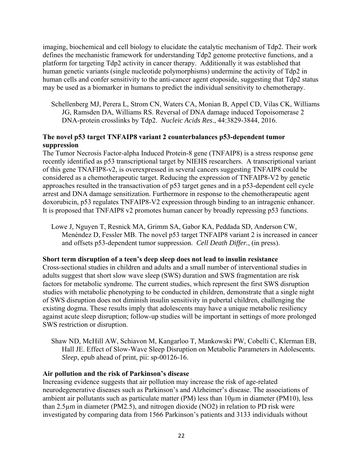imaging, biochemical and cell biology to elucidate the catalytic mechanism of Tdp2. Their work defines the mechanistic framework for understanding Tdp2 genome protective functions, and a platform for targeting Tdp2 activity in cancer therapy. Additionally it was established that human genetic variants (single nucleotide polymorphisms) undermine the activity of Tdp2 in human cells and confer sensitivity to the anti-cancer agent etoposide, suggesting that Tdp2 status may be used as a biomarker in humans to predict the individual sensitivity to chemotherapy.

Schellenberg MJ, Perera L, Strom CN, Waters CA, Monian B, Appel CD, Vilas CK, Williams JG, Ramsden DA, Williams RS. Reversal of DNA damage induced Topoisomerase 2 DNA-protein crosslinks by Tdp2. *Nucleic Acids Res*., 44:3829-3844, 2016.

## **The novel p53 target TNFAIP8 variant 2 counterbalances p53-dependent tumor suppression**

The Tumor Necrosis Factor-alpha Induced Protein-8 gene (TNFAIP8) is a stress response gene recently identified as p53 transcriptional target by NIEHS researchers. A transcriptional variant of this gene TNAFIP8-v2, is overexpressed in several cancers suggesting TNFAIP8 could be considered as a chemotherapeutic target. Reducing the expression of TNFAIP8-V2 by genetic approaches resulted in the transactivation of p53 target genes and in a p53-dependent cell cycle arrest and DNA damage sensitization. Furthermore in response to the chemotherapeutic agent doxorubicin, p53 regulates TNFAIP8-V2 expression through binding to an intragenic enhancer. It is proposed that TNFAIP8 v2 promotes human cancer by broadly repressing p53 functions.

Lowe J, Nguyen T, Resnick MA, Grimm SA, Gabor KA, Peddada SD, Anderson CW, Menéndez D, Fessler MB. The novel p53 target TNFAIP8 variant 2 is increased in cancer and offsets p53-dependent tumor suppression. *Cell Death Differ.*, (in press).

## **Short term disruption of a teen's deep sleep does not lead to insulin resistance**

Cross-sectional studies in children and adults and a small number of interventional studies in adults suggest that short slow wave sleep (SWS) duration and SWS fragmentation are risk factors for metabolic syndrome. The current studies, which represent the first SWS disruption studies with metabolic phenotyping to be conducted in children, demonstrate that a single night of SWS disruption does not diminish insulin sensitivity in pubertal children, challenging the existing dogma. These results imply that adolescents may have a unique metabolic resiliency against acute sleep disruption; follow-up studies will be important in settings of more prolonged SWS restriction or disruption.

Shaw ND, McHill AW, Schiavon M, Kangarloo T, Mankowski PW, Cobelli C, Klerman EB, Hall JE. Effect of Slow-Wave Sleep Disruption on Metabolic Parameters in Adolescents. *Sleep*, epub ahead of print, pii: sp-00126-16.

#### **Air pollution and the risk of Parkinson's disease**

Increasing evidence suggests that air pollution may increase the risk of age-related neurodegenerative diseases such as Parkinson's and Alzheimer's disease. The associations of ambient air pollutants such as particulate matter (PM) less than 10µm in diameter (PM10), less than 2.5µm in diameter (PM2.5), and nitrogen dioxide (NO2) in relation to PD risk were investigated by comparing data from 1566 Parkinson's patients and 3133 individuals without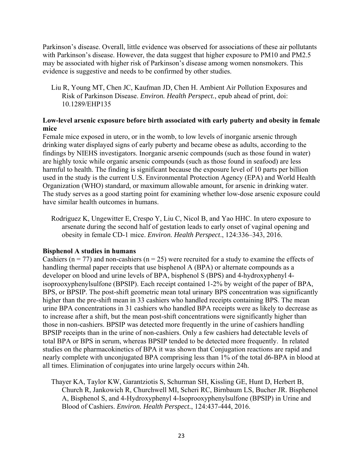Parkinson's disease. Overall, little evidence was observed for associations of these air pollutants with Parkinson's disease. However, the data suggest that higher exposure to PM10 and PM2.5 may be associated with higher risk of Parkinson's disease among women nonsmokers. This evidence is suggestive and needs to be confirmed by other studies.

Liu R, Young MT, Chen JC, Kaufman JD, Chen H. Ambient Air Pollution Exposures and Risk of Parkinson Disease. *Environ. Health Perspect.*, epub ahead of print, doi: 10.1289/EHP135

## **Low-level arsenic exposure before birth associated with early puberty and obesity in female mice**

Female mice exposed in utero, or in the womb, to low levels of inorganic arsenic through drinking water displayed signs of early puberty and became obese as adults, according to the findings by NIEHS investigators. Inorganic arsenic compounds (such as those found in water) are highly toxic while organic arsenic compounds (such as those found in seafood) are less harmful to health. The finding is significant because the exposure level of 10 parts per billion used in the study is the current U.S. Environmental Protection Agency (EPA) and World Health Organization (WHO) standard, or maximum allowable amount, for arsenic in drinking water. The study serves as a good starting point for examining whether low-dose arsenic exposure could have similar health outcomes in humans.

Rodriguez K, Ungewitter E, Crespo Y, Liu C, Nicol B, and Yao HHC. In utero exposure to arsenate during the second half of gestation leads to early onset of vaginal opening and obesity in female CD-1 mice. *Environ. Health Perspect*., 124:336–343, 2016.

## **Bisphenol A studies in humans**

Cashiers ( $n = 77$ ) and non-cashiers ( $n = 25$ ) were recruited for a study to examine the effects of handling thermal paper receipts that use bisphenol A (BPA) or alternate compounds as a developer on blood and urine levels of BPA, bisphenol S (BPS) and 4-hydroxyphenyl 4 isoprooxyphenylsulfone (BPSIP). Each receipt contained 1-2% by weight of the paper of BPA, BPS, or BPSIP. The post-shift geometric mean total urinary BPS concentration was significantly higher than the pre-shift mean in 33 cashiers who handled receipts containing BPS. The mean urine BPA concentrations in 31 cashiers who handled BPA receipts were as likely to decrease as to increase after a shift, but the mean post-shift concentrations were significantly higher than those in non-cashiers. BPSIP was detected more frequently in the urine of cashiers handling BPSIP receipts than in the urine of non-cashiers. Only a few cashiers had detectable levels of total BPA or BPS in serum, whereas BPSIP tended to be detected more frequently. In related studies on the pharmacokinetics of BPA it was shown that Conjugation reactions are rapid and nearly complete with unconjugated BPA comprising less than 1% of the total d6-BPA in blood at all times. Elimination of conjugates into urine largely occurs within 24h.

Thayer KA, Taylor KW, Garantziotis S, Schurman SH, Kissling GE, Hunt D, Herbert B, Church R, Jankowich R, Churchwell MI, Scheri RC, Birnbaum LS, Bucher JR. Bisphenol A, Bisphenol S, and 4-Hydroxyphenyl 4-Isoprooxyphenylsulfone (BPSIP) in Urine and Blood of Cashiers. *Environ. Health Perspect.*, 124:437-444, 2016.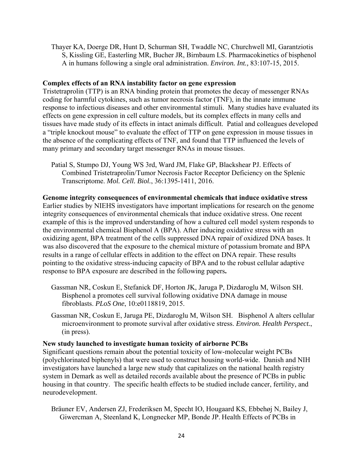Thayer KA, Doerge DR, Hunt D, Schurman SH, Twaddle NC, Churchwell MI, Garantziotis S, Kissling GE, Easterling MR, Bucher JR, Birnbaum LS. Pharmacokinetics of bisphenol A in humans following a single oral administration. *Environ. Int.,* 83:107-15, 2015.

#### **Complex effects of an RNA instability factor on gene expression**

Tristetraprolin (TTP) is an RNA binding protein that promotes the decay of messenger RNAs coding for harmful cytokines, such as tumor necrosis factor (TNF), in the innate immune response to infectious diseases and other environmental stimuli. Many studies have evaluated its effects on gene expression in cell culture models, but its complex effects in many cells and tissues have made study of its effects in intact animals difficult. Patial and colleagues developed a "triple knockout mouse" to evaluate the effect of TTP on gene expression in mouse tissues in the absence of the complicating effects of TNF, and found that TTP influenced the levels of many primary and secondary target messenger RNAs in mouse tissues.

Patial S, Stumpo DJ, Young WS 3rd, Ward JM, Flake GP, Blackshear PJ. Effects of Combined Tristetraprolin/Tumor Necrosis Factor Receptor Deficiency on the Splenic Transcriptome. *Mol. Cell. Biol.*, 36:1395-1411, 2016.

**Genome integrity consequences of environmental chemicals that induce oxidative stress**  Earlier studies by NIEHS investigators have important implications for research on the genome integrity consequences of environmental chemicals that induce oxidative stress. One recent example of this is the improved understanding of how a cultured cell model system responds to the environmental chemical Bisphenol A (BPA). After inducing oxidative stress with an oxidizing agent, BPA treatment of the cells suppressed DNA repair of oxidized DNA bases. It was also discovered that the exposure to the chemical mixture of potassium bromate and BPA results in a range of cellular effects in addition to the effect on DNA repair. These results pointing to the oxidative stress-inducing capacity of BPA and to the robust cellular adaptive response to BPA exposure are described in the following papers**.** 

- Gassman NR, Coskun E, Stefanick DF, Horton JK, Jaruga P, Dizdaroglu M, Wilson SH. Bisphenol a promotes cell survival following oxidative DNA damage in mouse fibroblasts. *PLoS One*, 10:e0118819, 2015.
- Gassman NR, Coskun E, Jaruga PE, Dizdaroglu M, Wilson SH. Bisphenol A alters cellular microenvironment to promote survival after oxidative stress. *Environ. Health Perspect.*, (in press).

#### **New study launched to investigate human toxicity of airborne PCBs**

Significant questions remain about the potential toxicity of low-molecular weight PCBs (polychlorinated biphenyls) that were used to construct housing world-wide. Danish and NIH investigators have launched a large new study that capitalizes on the national health registry system in Demark as well as detailed records available about the presence of PCBs in public housing in that country. The specific health effects to be studied include cancer, fertility, and neurodevelopment.

Bräuner EV, Andersen ZJ, Frederiksen M, Specht IO, Hougaard KS, Ebbehøj N, Bailey J, Giwercman A, Steenland K, Longnecker MP, Bonde JP. Health Effects of PCBs in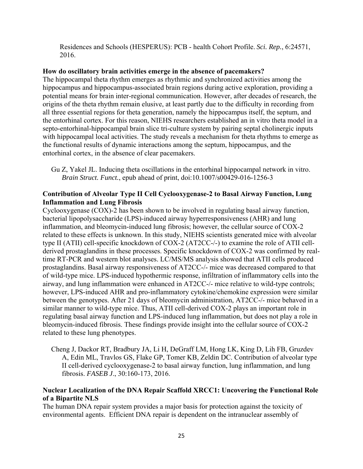Residences and Schools (HESPERUS): PCB - health Cohort Profile. *Sci. Rep.*, 6:24571, 2016.

#### **How do oscillatory brain activities emerge in the absence of pacemakers?**

The hippocampal theta rhythm emerges as rhythmic and synchronized activities among the hippocampus and hippocampus-associated brain regions during active exploration, providing a potential means for brain inter-regional communication. However, after decades of research, the origins of the theta rhythm remain elusive, at least partly due to the difficulty in recording from all three essential regions for theta generation, namely the hippocampus itself, the septum, and the entorhinal cortex. For this reason, NIEHS researchers established an in vitro theta model in a septo-entorhinal-hippocampal brain slice tri-culture system by pairing septal cholinergic inputs with hippocampal local activities. The study reveals a mechanism for theta rhythms to emerge as the functional results of dynamic interactions among the septum, hippocampus, and the entorhinal cortex, in the absence of clear pacemakers.

Gu Z, Yakel JL. Inducing theta oscillations in the entorhinal hippocampal network in vitro. *Brain Struct. Funct.*, epub ahead of print, doi:10.1007/s00429-016-1256-3

## **Contribution of Alveolar Type II Cell Cyclooxygenase-2 to Basal Airway Function, Lung Inflammation and Lung Fibrosis**

Cyclooxygenase (COX)-2 has been shown to be involved in regulating basal airway function, bacterial lipopolysaccharide (LPS)-induced airway hyperresponsiveness (AHR) and lung inflammation, and bleomycin-induced lung fibrosis; however, the cellular source of COX-2 related to these effects is unknown. In this study, NIEHS scientists generated mice with alveolar type II (ATII) cell-specific knockdown of COX-2 (AT2CC-/-) to examine the role of ATII cellderived prostaglandins in these processes. Specific knockdown of COX-2 was confirmed by realtime RT-PCR and western blot analyses. LC/MS/MS analysis showed that ATII cells produced prostaglandins. Basal airway responsiveness of AT2CC-/- mice was decreased compared to that of wild-type mice. LPS-induced hypothermic response, infiltration of inflammatory cells into the airway, and lung inflammation were enhanced in AT2CC-/- mice relative to wild-type controls; however, LPS-induced AHR and pro-inflammatory cytokine/chemokine expression were similar between the genotypes. After 21 days of bleomycin administration, AT2CC-/- mice behaved in a similar manner to wild-type mice. Thus, ATII cell-derived COX-2 plays an important role in regulating basal airway function and LPS-induced lung inflammation, but does not play a role in bleomycin-induced fibrosis. These findings provide insight into the cellular source of COX-2 related to these lung phenotypes.

Cheng J, Dackor RT, Bradbury JA, Li H, DeGraff LM, Hong LK, King D, Lih FB, Gruzdev A, Edin ML, Travlos GS, Flake GP, Tomer KB, Zeldin DC. Contribution of alveolar type II cell-derived cyclooxygenase-2 to basal airway function, lung inflammation, and lung fibrosis. *FASEB J*., 30:160-173, 2016.

## **Nuclear Localization of the DNA Repair Scaffold XRCC1: Uncovering the Functional Role of a Bipartite NLS**

The human DNA repair system provides a major basis for protection against the toxicity of environmental agents. Efficient DNA repair is dependent on the intranuclear assembly of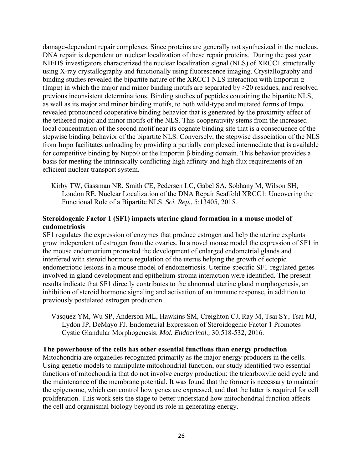damage-dependent repair complexes. Since proteins are generally not synthesized in the nucleus, DNA repair is dependent on nuclear localization of these repair proteins. During the past year NIEHS investigators characterized the nuclear localization signal (NLS) of XRCC1 structurally using X-ray crystallography and functionally using fluorescence imaging. Crystallography and binding studies revealed the bipartite nature of the XRCC1 NLS interaction with Importin  $\alpha$ (Imp $\alpha$ ) in which the major and minor binding motifs are separated by  $>$ 20 residues, and resolved previous inconsistent determinations. Binding studies of peptides containing the bipartite NLS, as well as its major and minor binding motifs, to both wild-type and mutated forms of Impα revealed pronounced cooperative binding behavior that is generated by the proximity effect of the tethered major and minor motifs of the NLS. This cooperativity stems from the increased local concentration of the second motif near its cognate binding site that is a consequence of the stepwise binding behavior of the bipartite NLS. Conversely, the stepwise dissociation of the NLS from Impα facilitates unloading by providing a partially complexed intermediate that is available for competitive binding by Nup50 or the Importin β binding domain. This behavior provides a basis for meeting the intrinsically conflicting high affinity and high flux requirements of an efficient nuclear transport system.

Kirby TW, Gassman NR, Smith CE, Pedersen LC, Gabel SA, Sobhany M, Wilson SH, London RE. Nuclear Localization of the DNA Repair Scaffold XRCC1: Uncovering the Functional Role of a Bipartite NLS. *Sci. Rep.*, 5:13405, 2015.

## **Steroidogenic Factor 1 (SF1) impacts uterine gland formation in a mouse model of endometriosis**

SF1 regulates the expression of enzymes that produce estrogen and help the uterine explants grow independent of estrogen from the ovaries. In a novel mouse model the expression of SF1 in the mouse endometrium promoted the development of enlarged endometrial glands and interfered with steroid hormone regulation of the uterus helping the growth of ectopic endometriotic lesions in a mouse model of endometriosis. Uterine-specific SF1-regulated genes involved in gland development and epithelium-stroma interaction were identified. The present results indicate that SF1 directly contributes to the abnormal uterine gland morphogenesis, an inhibition of steroid hormone signaling and activation of an immune response, in addition to previously postulated estrogen production.

Vasquez YM, Wu SP, Anderson ML, Hawkins SM, Creighton CJ, Ray M, Tsai SY, Tsai MJ, Lydon JP, DeMayo FJ. Endometrial Expression of Steroidogenic Factor 1 Promotes Cystic Glandular Morphogenesis. *Mol. Endocrinol.,* 30:518-532, 2016.

#### **The powerhouse of the cells has other essential functions than energy production**

Mitochondria are organelles recognized primarily as the major energy producers in the cells. Using genetic models to manipulate mitochondrial function, our study identified two essential functions of mitochondria that do not involve energy production: the tricarboxylic acid cycle and the maintenance of the membrane potential. It was found that the former is necessary to maintain the epigenome, which can control how genes are expressed, and that the latter is required for cell proliferation. This work sets the stage to better understand how mitochondrial function affects the cell and organismal biology beyond its role in generating energy.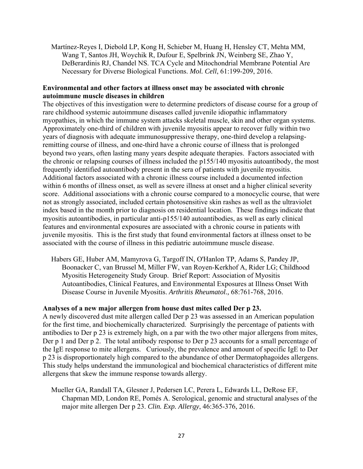Martínez-Reyes I, Diebold LP, Kong H, Schieber M, Huang H, Hensley CT, Mehta MM, Wang T, Santos JH, Woychik R, Dufour E, Spelbrink JN, Weinberg SE, Zhao Y, DeBerardinis RJ, Chandel NS. TCA Cycle and Mitochondrial Membrane Potential Are Necessary for Diverse Biological Functions. *Mol. Cell*, 61:199-209, 2016.

#### **Environmental and other factors at illness onset may be associated with chronic autoimmune muscle diseases in children**

The objectives of this investigation were to determine predictors of disease course for a group of rare childhood systemic autoimmune diseases called juvenile idiopathic inflammatory myopathies, in which the immune system attacks skeletal muscle, skin and other organ systems. Approximately one-third of children with juvenile myositis appear to recover fully within two years of diagnosis with adequate immunosuppressive therapy, one-third develop a relapsingremitting course of illness, and one-third have a chronic course of illness that is prolonged beyond two years, often lasting many years despite adequate therapies. Factors associated with the chronic or relapsing courses of illness included the p155/140 myositis autoantibody, the most frequently identified autoantibody present in the sera of patients with juvenile myositis. Additional factors associated with a chronic illness course included a documented infection within 6 months of illness onset, as well as severe illness at onset and a higher clinical severity score. Additional associations with a chronic course compared to a monocyclic course, that were not as strongly associated, included certain photosensitive skin rashes as well as the ultraviolet index based in the month prior to diagnosis on residential location. These findings indicate that myositis autoantibodies, in particular anti-p155/140 autoantibodies, as well as early clinical features and environmental exposures are associated with a chronic course in patients with juvenile myositis. This is the first study that found environmental factors at illness onset to be associated with the course of illness in this pediatric autoimmune muscle disease.

Habers GE, Huber AM, Mamyrova G, Targoff IN, O'Hanlon TP, Adams S, Pandey JP, Boonacker C, van Brussel M, Miller FW, van Royen-Kerkhof A, Rider LG; Childhood Myositis Heterogeneity Study Group. Brief Report: Association of Myositis Autoantibodies, Clinical Features, and Environmental Exposures at Illness Onset With Disease Course in Juvenile Myositis. *Arthritis Rheumatol.,* 68:761-768, 2016.

#### **Analyses of a new major allergen from house dust mites called Der p 23.**

A newly discovered dust mite allergen called Der p 23 was assessed in an American population for the first time, and biochemically characterized. Surprisingly the percentage of patients with antibodies to Der p 23 is extremely high, on a par with the two other major allergens from mites, Der p 1 and Der p 2. The total antibody response to Der p 23 accounts for a small percentage of the IgE response to mite allergens. Curiously, the prevalence and amount of specific IgE to Der p 23 is disproportionately high compared to the abundance of other Dermatophagoides allergens. This study helps understand the immunological and biochemical characteristics of different mite allergens that skew the immune response towards allergy.

Mueller GA, Randall TA, Glesner J, Pedersen LC, Perera L, Edwards LL, DeRose EF, Chapman MD, London RE, Pomés A. Serological, genomic and structural analyses of the major mite allergen Der p 23. *Clin. Exp. Allergy*, 46:365-376, 2016.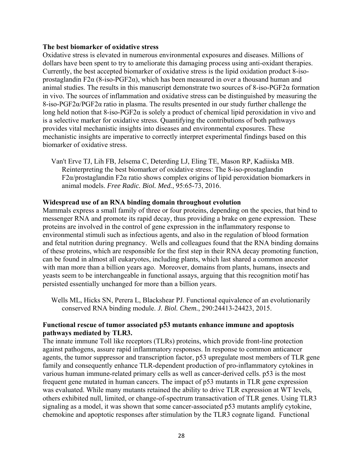#### **The best biomarker of oxidative stress**

Oxidative stress is elevated in numerous environmental exposures and diseases. Millions of dollars have been spent to try to ameliorate this damaging process using anti-oxidant therapies. Currently, the best accepted biomarker of oxidative stress is the lipid oxidation product 8-isoprostaglandin F2 $\alpha$  (8-iso-PGF2 $\alpha$ ), which has been measured in over a thousand human and animal studies. The results in this manuscript demonstrate two sources of  $8$ -iso-PGF2 $\alpha$  formation in vivo. The sources of inflammation and oxidative stress can be distinguished by measuring the 8-iso-PGF2α/PGF2α ratio in plasma. The results presented in our study further challenge the long held notion that 8-iso-PGF2 $\alpha$  is solely a product of chemical lipid peroxidation in vivo and is a selective marker for oxidative stress. Quantifying the contributions of both pathways provides vital mechanistic insights into diseases and environmental exposures. These mechanistic insights are imperative to correctly interpret experimental findings based on this biomarker of oxidative stress.

Van't Erve TJ, Lih FB, Jelsema C, Deterding LJ, Eling TE, Mason RP, Kadiiska MB. Reinterpreting the best biomarker of oxidative stress: The 8-iso-prostaglandin F2α/prostaglandin F2α ratio shows complex origins of lipid peroxidation biomarkers in animal models. *Free Radic. Biol. Med.*, 95:65-73, 2016.

#### **Widespread use of an RNA binding domain throughout evolution**

Mammals express a small family of three or four proteins, depending on the species, that bind to messenger RNA and promote its rapid decay, thus providing a brake on gene expression. These proteins are involved in the control of gene expression in the inflammatory response to environmental stimuli such as infectious agents, and also in the regulation of blood formation and fetal nutrition during pregnancy. Wells and colleagues found that the RNA binding domains of these proteins, which are responsible for the first step in their RNA decay promoting function, can be found in almost all eukaryotes, including plants, which last shared a common ancestor with man more than a billion years ago. Moreover, domains from plants, humans, insects and yeasts seem to be interchangeable in functional assays, arguing that this recognition motif has persisted essentially unchanged for more than a billion years.

Wells ML, Hicks SN, Perera L, Blackshear PJ. Functional equivalence of an evolutionarily conserved RNA binding module. *J. Biol. Chem.*, 290:24413-24423, 2015.

## **Functional rescue of tumor associated p53 mutants enhance immune and apoptosis pathways mediated by TLR3.**

The innate immune Toll like receptors (TLRs) proteins, which provide front-line protection against pathogens, assure rapid inflammatory responses. In response to common anticancer agents, the tumor suppressor and transcription factor, p53 upregulate most members of TLR gene family and consequently enhance TLR-dependent production of pro-inflammatory cytokines in various human immune-related primary cells as well as cancer-derived cells. p53 is the most frequent gene mutated in human cancers. The impact of p53 mutants in TLR gene expression was evaluated. While many mutants retained the ability to drive TLR expression at WT levels, others exhibited null, limited, or change-of-spectrum transactivation of TLR genes. Using TLR3 signaling as a model, it was shown that some cancer-associated p53 mutants amplify cytokine, chemokine and apoptotic responses after stimulation by the TLR3 cognate ligand. Functional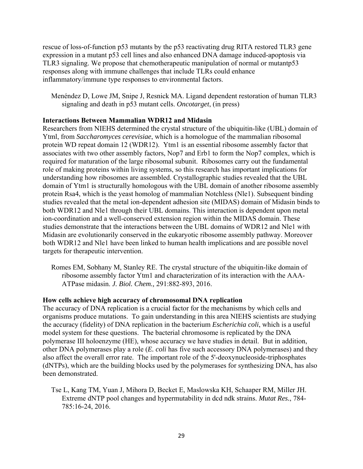rescue of loss-of-function p53 mutants by the p53 reactivating drug RITA restored TLR3 gene expression in a mutant p53 cell lines and also enhanced DNA damage induced-apoptosis via TLR3 signaling. We propose that chemotherapeutic manipulation of normal or mutantp53 responses along with immune challenges that include TLRs could enhance inflammatory/immune type responses to environmental factors.

Menéndez D, Lowe JM, Snipe J, Resnick MA. Ligand dependent restoration of human TLR3 signaling and death in p53 mutant cells. *Oncotarget*, (in press)

## **Interactions Between Mammalian WDR12 and Midasin**

Researchers from NIEHS determined the crystal structure of the ubiquitin-like (UBL) domain of Ytml, from *Saccharomyces cerevisiae*, which is a homologue of the mammalian ribosomal protein WD repeat domain 12 (WDR12). Ytm1 is an essential ribosome assembly factor that associates with two other assembly factors, Nop7 and Erb1 to form the Nop7 complex, which is required for maturation of the large ribosomal subunit. Ribosomes carry out the fundamental role of making proteins within living systems, so this research has important implications for understanding how ribosomes are assembled. Crystallographic studies revealed that the UBL domain of Ytm1 is structurally homologous with the UBL domain of another ribosome assembly protein Rsa4, which is the yeast homolog of mammalian Notchless (Nle1). Subsequent binding studies revealed that the metal ion-dependent adhesion site (MIDAS) domain of Midasin binds to both WDR12 and Nle1 through their UBL domains. This interaction is dependent upon metal ion-coordination and a well-conserved extension region within the MIDAS domain. These studies demonstrate that the interactions between the UBL domains of WDR12 and Nle1 with Midasin are evolutionarily conserved in the eukaryotic ribosome assembly pathway. Moreover both WDR12 and Nle1 have been linked to human health implications and are possible novel targets for therapeutic intervention.

Romes EM, Sobhany M, Stanley RE. The crystal structure of the ubiquitin-like domain of ribosome assembly factor Ytm1 and characterization of its interaction with the AAA-ATPase midasin. *J. Biol. Chem.,* 291:882-893, 2016.

## **How cells achieve high accuracy of chromosomal DNA replication**

The accuracy of DNA replication is a crucial factor for the mechanisms by which cells and organisms produce mutations. To gain understanding in this area NIEHS scientists are studying the accuracy (fidelity) of DNA replication in the bacterium *Escherichia coli*, which is a useful model system for these questions. The bacterial chromosome is replicated by the DNA polymerase III holoenzyme (HE), whose accuracy we have studies in detail. But in addition, other DNA polymerases play a role (*E. coli* has five such accessory DNA polymerases) and they also affect the overall error rate. The important role of the 5'-deoxynucleoside-triphosphates (dNTPs), which are the building blocks used by the polymerases for synthesizing DNA, has also been demonstrated.

Tse L, Kang TM, Yuan J, Mihora D, Becket E, Maslowska KH, Schaaper RM, Miller JH. Extreme dNTP pool changes and hypermutability in dcd ndk strains. *Mutat Res.*, 784 785:16-24, 2016.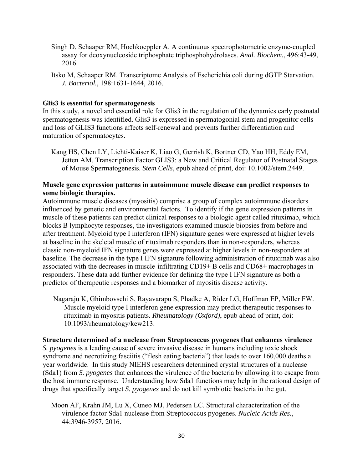- Singh D, Schaaper RM, Hochkoeppler A. A continuous spectrophotometric enzyme-coupled assay for deoxynucleoside triphosphate triphosphohydrolases. *Anal. Biochem.*, 496:43-49, 2016.
- Itsko M, Schaaper RM. Transcriptome Analysis of Escherichia coli during dGTP Starvation. *J. Bacteriol.*, 198:1631-1644, 2016.

#### **Glis3 is essential for spermatogenesis**

In this study, a novel and essential role for Glis3 in the regulation of the dynamics early postnatal spermatogenesis was identified. Glis3 is expressed in spermatogonial stem and progenitor cells and loss of GLIS3 functions affects self-renewal and prevents further differentiation and maturation of spermatocytes.

Kang HS, Chen LY, Lichti-Kaiser K, Liao G, Gerrish K, Bortner CD, Yao HH, Eddy EM, Jetten AM. Transcription Factor GLIS3: a New and Critical Regulator of Postnatal Stages of Mouse Spermatogenesis. *Stem Cells*, epub ahead of print, doi: 10.1002/stem.2449.

#### **Muscle gene expression patterns in autoimmune muscle disease can predict responses to some biologic therapies.**

Autoimmune muscle diseases (myositis) comprise a group of complex autoimmune disorders influenced by genetic and environmental factors. To identify if the gene expression patterns in muscle of these patients can predict clinical responses to a biologic agent called rituximab, which blocks B lymphocyte responses, the investigators examined muscle biopsies from before and after treatment. Myeloid type I interferon (IFN) signature genes were expressed at higher levels at baseline in the skeletal muscle of rituximab responders than in non-responders, whereas classic non-myeloid IFN signature genes were expressed at higher levels in non-responders at baseline. The decrease in the type I IFN signature following administration of rituximab was also associated with the decreases in muscle-infiltrating CD19+ B cells and CD68+ macrophages in responders. These data add further evidence for defining the type I IFN signature as both a predictor of therapeutic responses and a biomarker of myositis disease activity.

Nagaraju K, Ghimbovschi S, Rayavarapu S, Phadke A, Rider LG, Hoffman EP, Miller FW. Muscle myeloid type I interferon gene expression may predict therapeutic responses to rituximab in myositis patients. *Rheumatology (Oxford)*, epub ahead of print, doi: 10.1093/rheumatology/kew213.

#### **Structure determined of a nuclease from Streptococcus pyogenes that enhances virulence**

*S. pyogenes* is a leading cause of severe invasive disease in humans including toxic shock syndrome and necrotizing fasciitis ("flesh eating bacteria") that leads to over 160,000 deaths a year worldwide. In this study NIEHS researchers determined crystal structures of a nuclease (Sda1) from *S. pyogenes* that enhances the virulence of the bacteria by allowing it to escape from the host immune response. Understanding how Sda1 functions may help in the rational design of drugs that specifically target *S. pyogenes* and do not kill symbiotic bacteria in the gut.

Moon AF, Krahn JM, Lu X, Cuneo MJ, Pedersen LC. Structural characterization of the virulence factor Sda1 nuclease from Streptococcus pyogenes. *Nucleic Acids Res.*, 44:3946-3957, 2016.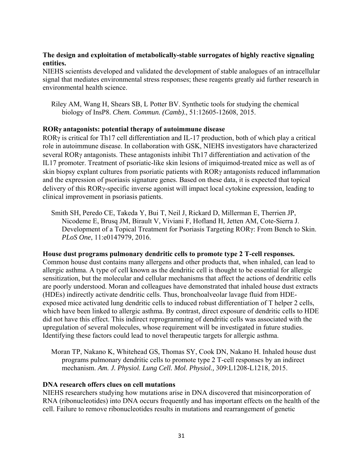## **The design and exploitation of metabolically-stable surrogates of highly reactive signaling entities.**

NIEHS scientists developed and validated the development of stable analogues of an intracellular signal that mediates environmental stress responses; these reagents greatly aid further research in environmental health science.

Riley AM, Wang H, Shears SB, L Potter BV. Synthetic tools for studying the chemical biology of InsP8. *Chem. Commun. (Camb)*., 51:12605-12608, 2015.

## **ROR antagonists: potential therapy of autoimmune disease**

ROR $\gamma$  is critical for Th17 cell differentiation and IL-17 production, both of which play a critical role in autoimmune disease. In collaboration with GSK, NIEHS investigators have characterized several ROR $\gamma$  antagonists. These antagonists inhibit Th17 differentiation and activation of the IL17 promoter. Treatment of psoriatic-like skin lesions of imiquimod-treated mice as well as of skin biopsy explant cultures from psoriatic patients with RORy antagonists reduced inflammation and the expression of psoriasis signature genes. Based on these data, it is expected that topical delivery of this  $ROR<sub>Y</sub>$ -specific inverse agonist will impact local cytokine expression, leading to clinical improvement in psoriasis patients.

Smith SH, Peredo CE, Takeda Y, Bui T, Neil J, Rickard D, Millerman E, Therrien JP, Nicodeme E, Brusq JM, Birault V, Viviani F, Hofland H, Jetten AM, Cote-Sierra J. Development of a Topical Treatment for Psoriasis Targeting RORγ: From Bench to Skin. *PLoS One*, 11:e0147979, 2016.

## **House dust programs pulmonary dendritic cells to promote type 2 T-cell responses.**  Common house dust contains many allergens and other products that, when inhaled, can lead to allergic asthma. A type of cell known as the dendritic cell is thought to be essential for allergic sensitization, but the molecular and cellular mechanisms that affect the actions of dendritic cells

are poorly understood. Moran and colleagues have demonstrated that inhaled house dust extracts (HDEs) indirectly activate dendritic cells. Thus, bronchoalveolar lavage fluid from HDEexposed mice activated lung dendritic cells to induced robust differentiation of T helper 2 cells, which have been linked to allergic asthma. By contrast, direct exposure of dendritic cells to HDE did not have this effect. This indirect reprogramming of dendritic cells was associated with the upregulation of several molecules, whose requirement will be investigated in future studies. Identifying these factors could lead to novel therapeutic targets for allergic asthma.

Moran TP, Nakano K, Whitehead GS, Thomas SY, Cook DN, Nakano H. Inhaled house dust programs pulmonary dendritic cells to promote type 2 T-cell responses by an indirect mechanism. *Am. J. Physiol. Lung Cell. Mol. Physiol.,* 309:L1208-L1218, 2015.

## **DNA research offers clues on cell mutations**

NIEHS researchers studying how mutations arise in DNA discovered that misincorporation of RNA (ribonucleotides) into DNA occurs frequently and has important effects on the health of the cell. Failure to remove ribonucleotides results in mutations and rearrangement of genetic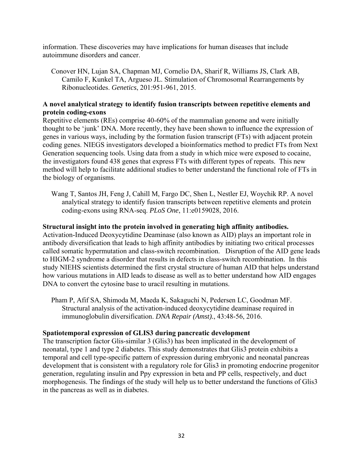information. These discoveries may have implications for human diseases that include autoimmune disorders and cancer.

Conover HN, Lujan SA, Chapman MJ, Cornelio DA, Sharif R, Williams JS, Clark AB, Camilo F, Kunkel TA, Argueso JL. Stimulation of Chromosomal Rearrangements by Ribonucleotides. *Genetics*, 201:951-961, 2015.

## **A novel analytical strategy to identify fusion transcripts between repetitive elements and protein coding-exons**

Repetitive elements (REs) comprise 40-60% of the mammalian genome and were initially thought to be 'junk' DNA. More recently, they have been shown to influence the expression of genes in various ways, including by the formation fusion transcript (FTs) with adjacent protein coding genes. NIEGS investigators developed a bioinformatics method to predict FTs from Next Generation sequencing tools. Using data from a study in which mice were exposed to cocaine, the investigators found 438 genes that express FTs with different types of repeats. This new method will help to facilitate additional studies to better understand the functional role of FTs in the biology of organisms.

Wang T, Santos JH, Feng J, Cahill M, Fargo DC, Shen L, Nestler EJ, Woychik RP. A novel analytical strategy to identify fusion transcripts between repetitive elements and protein coding-exons using RNA-seq. *PLoS One*, 11:e0159028, 2016.

## **Structural insight into the protein involved in generating high affinity antibodies.**

Activation-Induced Deoxycytidine Deaminase (also known as AID) plays an important role in antibody diversification that leads to high affinity antibodies by initiating two critical processes called somatic hypermutation and class-switch recombination. Disruption of the AID gene leads to HIGM-2 syndrome a disorder that results in defects in class-switch recombination. In this study NIEHS scientists determined the first crystal structure of human AID that helps understand how various mutations in AID leads to disease as well as to better understand how AID engages DNA to convert the cytosine base to uracil resulting in mutations.

Pham P, Afif SA, Shimoda M, Maeda K, Sakaguchi N, Pedersen LC, Goodman MF. Structural analysis of the activation-induced deoxycytidine deaminase required in immunoglobulin diversification. *DNA Repair (Amst).*, 43:48-56, 2016.

## **Spatiotemporal expression of GLIS3 during pancreatic development**

The transcription factor Glis-similar 3 (Glis3) has been implicated in the development of neonatal, type 1 and type 2 diabetes. This study demonstrates that Glis3 protein exhibits a temporal and cell type-specific pattern of expression during embryonic and neonatal pancreas development that is consistent with a regulatory role for Glis3 in promoting endocrine progenitor generation, regulating insulin and Ppy expression in beta and PP cells, respectively, and duct morphogenesis. The findings of the study will help us to better understand the functions of Glis3 in the pancreas as well as in diabetes.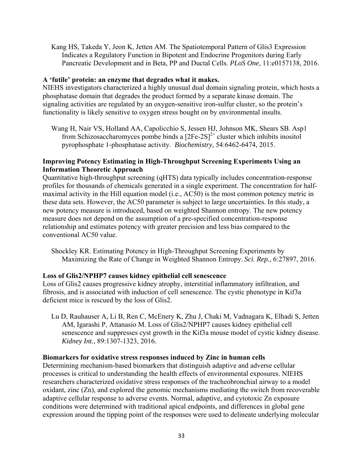Kang HS, Takeda Y, Jeon K, Jetten AM. The Spatiotemporal Pattern of Glis3 Expression Indicates a Regulatory Function in Bipotent and Endocrine Progenitors during Early Pancreatic Development and in Beta, PP and Ductal Cells. *PLoS One*, 11:e0157138, 2016.

## **A 'futile' protein: an enzyme that degrades what it makes.**

NIEHS investigators characterized a highly unusual dual domain signaling protein, which hosts a phosphatase domain that degrades the product formed by a separate kinase domain. The signaling activities are regulated by an oxygen-sensitive iron-sulfur cluster, so the protein's functionality is likely sensitive to oxygen stress bought on by environmental insults.

Wang H, Nair VS, Holland AA, Capolicchio S, Jessen HJ, Johnson MK, Shears SB. Asp1 from Schizosaccharomyces pombe binds a  $[2Fe-2S]<sup>2+</sup>$  cluster which inhibits inositol pyrophosphate 1-phosphatase activity. *Biochemistry,* 54:6462-6474, 2015.

## **Improving Potency Estimating in High-Throughput Screening Experiments Using an Information Theoretic Approach**

Quantitative high-throughput screening (qHTS) data typically includes concentration-response profiles for thousands of chemicals generated in a single experiment. The concentration for halfmaximal activity in the Hill equation model (i.e., AC50) is the most common potency metric in these data sets. However, the AC50 parameter is subject to large uncertainties. In this study, a new potency measure is introduced, based on weighted Shannon entropy. The new potency measure does not depend on the assumption of a pre-specified concentration-response relationship and estimates potency with greater precision and less bias compared to the conventional AC50 value.

Shockley KR. Estimating Potency in High-Throughput Screening Experiments by Maximizing the Rate of Change in Weighted Shannon Entropy. *Sci. Rep.*, 6:27897, 2016.

## **Loss of Glis2/NPHP7 causes kidney epithelial cell senescence**

Loss of Glis2 causes progressive kidney atrophy, interstitial inflammatory infiltration, and fibrosis, and is associated with induction of cell senescence. The cystic phenotype in Kif3a deficient mice is rescued by the loss of Glis2.

Lu D, Rauhauser A, Li B, Ren C, McEnery K, Zhu J, Chaki M, Vadnagara K, Elhadi S, Jetten AM, Igarashi P, Attanasio M. Loss of Glis2/NPHP7 causes kidney epithelial cell senescence and suppresses cyst growth in the Kif3a mouse model of cystic kidney disease. *Kidney Int.*, 89:1307-1323, 2016.

#### **Biomarkers for oxidative stress responses induced by Zinc in human cells**

Determining mechanism-based biomarkers that distinguish adaptive and adverse cellular processes is critical to understanding the health effects of environmental exposures. NIEHS researchers characterized oxidative stress responses of the tracheobronchial airway to a model oxidant, zinc (Zn), and explored the genomic mechanisms mediating the switch from recoverable adaptive cellular response to adverse events. Normal, adaptive, and cytotoxic Zn exposure conditions were determined with traditional apical endpoints, and differences in global gene expression around the tipping point of the responses were used to delineate underlying molecular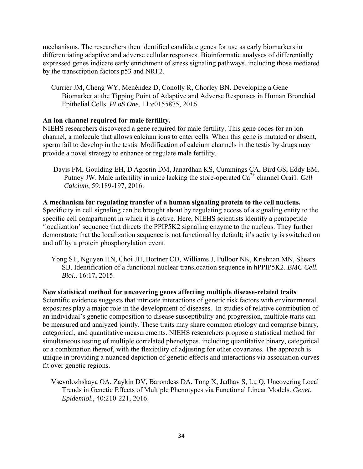mechanisms. The researchers then identified candidate genes for use as early biomarkers in differentiating adaptive and adverse cellular responses. Bioinformatic analyses of differentially expressed genes indicate early enrichment of stress signaling pathways, including those mediated by the transcription factors p53 and NRF2.

Currier JM, Cheng WY, Menéndez D, Conolly R, Chorley BN. Developing a Gene Biomarker at the Tipping Point of Adaptive and Adverse Responses in Human Bronchial Epithelial Cells. *PLoS One*, 11:e0155875, 2016.

## **An ion channel required for male fertility.**

NIEHS researchers discovered a gene required for male fertility. This gene codes for an ion channel, a molecule that allows calcium ions to enter cells. When this gene is mutated or absent, sperm fail to develop in the testis. Modification of calcium channels in the testis by drugs may provide a novel strategy to enhance or regulate male fertility.

Davis FM, Goulding EH, D'Agostin DM, Janardhan KS, Cummings CA, Bird GS, Eddy EM, Putney JW. Male infertility in mice lacking the store-operated  $Ca^{2+}$  channel Orai1. *Cell Calcium*, 59:189-197, 2016.

## **A mechanism for regulating transfer of a human signaling protein to the cell nucleus.**

Specificity in cell signaling can be brought about by regulating access of a signaling entity to the specific cell compartment in which it is active. Here, NIEHS scientists identify a pentapetide 'localization' sequence that directs the PPIP5K2 signaling enzyme to the nucleus. They further demonstrate that the localization sequence is not functional by default; it's activity is switched on and off by a protein phosphorylation event.

Yong ST, Nguyen HN, Choi JH, Bortner CD, Williams J, Pulloor NK, Krishnan MN, Shears SB. Identification of a functional nuclear translocation sequence in hPPIP5K2. *BMC Cell. Biol.,* 16:17, 2015.

**New statistical method for uncovering genes affecting multiple disease-related traits**  Scientific evidence suggests that intricate interactions of genetic risk factors with environmental exposures play a major role in the development of diseases. In studies of relative contribution of an individual's genetic composition to disease susceptibility and progression, multiple traits can be measured and analyzed jointly. These traits may share common etiology and comprise binary, categorical, and quantitative measurements. NIEHS researchers propose a statistical method for simultaneous testing of multiple correlated phenotypes, including quantitative binary, categorical or a combination thereof, with the flexibility of adjusting for other covariates. The approach is unique in providing a nuanced depiction of genetic effects and interactions via association curves fit over genetic regions.

Vsevolozhskaya OA, Zaykin DV, Barondess DA, Tong X, Jadhav S, Lu Q. Uncovering Local Trends in Genetic Effects of Multiple Phenotypes via Functional Linear Models. *Genet. Epidemiol.*, 40:210-221, 2016.